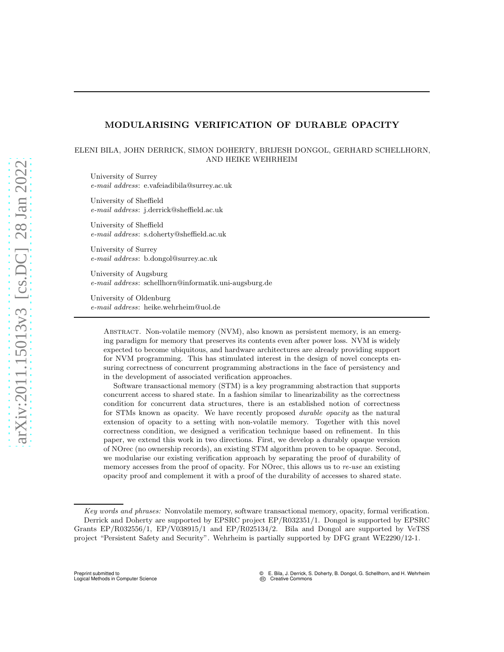## MODULARISING VERIFICATION OF DURABLE OPACITY

# ELENI BILA, JOHN DERRICK, SIMON DOHERTY, BRIJESH DONGOL, GERHARD SCHELLHORN, AND HEIKE WEHRHEIM

University of Surrey *e-mail address*: e.vafeiadibila@surrey.ac.uk

University of Sheffield *e-mail address*: j.derrick@sheffield.ac.uk

University of Sheffield *e-mail address*: s.doherty@sheffield.ac.uk

University of Surrey *e-mail address*: b.dongol@surrey.ac.uk

University of Augsburg *e-mail address*: schellhorn@informatik.uni-augsburg.de

University of Oldenburg *e-mail address*: heike.wehrheim@uol.de

Abstract. Non-volatile memory (NVM), also known as persistent memory, is an emerging paradigm for memory that preserves its contents even after power loss. NVM is widely expected to become ubiquitous, and hardware architectures are already providing support for NVM programming. This has stimulated interest in the design of novel concepts ensuring correctness of concurrent programming abstractions in the face of persistency and in the development of associated verification approaches.

Software transactional memory (STM) is a key programming abstraction that supports concurrent access to shared state. In a fashion similar to linearizability as the correctness condition for concurrent data structures, there is an established notion of correctness for STMs known as opacity. We have recently proposed *durable opacity* as the natural extension of opacity to a setting with non-volatile memory. Together with this novel correctness condition, we designed a verification technique based on refinement. In this paper, we extend this work in two directions. First, we develop a durably opaque version of NOrec (no ownership records), an existing STM algorithm proven to be opaque. Second, we modularise our existing verification approach by separating the proof of durability of memory accesses from the proof of opacity. For NOrec, this allows us to *re-use* an existing opacity proof and complement it with a proof of the durability of accesses to shared state.

*Key words and phrases:* Nonvolatile memory, software transactional memory, opacity, formal verification. Derrick and Doherty are supported by EPSRC project EP/R032351/1. Dongol is supported by EPSRC Grants EP/R032556/1, EP/V038915/1 and EP/R025134/2. Bila and Dongol are supported by VeTSS project "Persistent Safety and Security". Wehrheim is partially supported by DFG grant WE2290/12-1.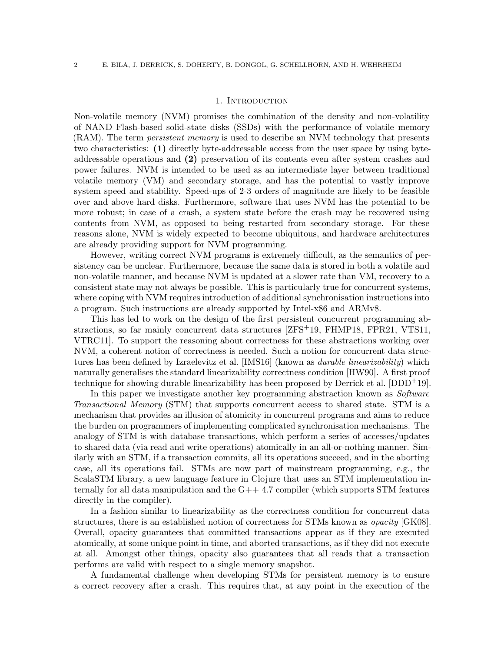#### 1. Introduction

Non-volatile memory (NVM) promises the combination of the density and non-volatility of NAND Flash-based solid-state disks (SSDs) with the performance of volatile memory (RAM). The term *persistent memory* is used to describe an NVM technology that presents two characteristics: (1) directly byte-addressable access from the user space by using byteaddressable operations and (2) preservation of its contents even after system crashes and power failures. NVM is intended to be used as an intermediate layer between traditional volatile memory (VM) and secondary storage, and has the potential to vastly improve system speed and stability. Speed-ups of 2-3 orders of magnitude are likely to be feasible over and above hard disks. Furthermore, software that uses NVM has the potential to be more robust; in case of a crash, a system state before the crash may be recovered using contents from NVM, as opposed to being restarted from secondary storage. For these reasons alone, NVM is widely expected to become ubiquitous, and hardware architectures are already providing support for NVM programming.

However, writing correct NVM programs is extremely difficult, as the semantics of persistency can be unclear. Furthermore, because the same data is stored in both a volatile and non-volatile manner, and because NVM is updated at a slower rate than VM, recovery to a consistent state may not always be possible. This is particularly true for concurrent systems, where coping with NVM requires introduction of additional synchronisation instructions into a program. Such instructions are already supported by Intel-x86 and ARMv8.

This has led to work on the design of the first persistent concurrent programming abstractions, so far mainly concurrent data structures [ZFS+19, FHMP18, FPR21, [VTS11,](#page-34-0) VTRC11]. To support the reasoning about correctness for these abstractions working over NVM, a coherent notion of correctness is needed. Such a notion for concurrent data structures has been defined by Izraelevitz et al. [IMS16] (known as *durable linearizability*) which naturally generalises the standard linearizability correctness condition [\[HW90\]](#page-33-0). A first proof technique for showing durable linearizability has been proposed by Derrick et al.  $[DDD^+19]$ .

In this paper we investigate another key programming abstraction known as Software Transactional Memory (STM) that supports concurrent access to shared state. STM is a mechanism that provides an illusion of atomicity in concurrent programs and aims to reduce the burden on programmers of implementing complicated synchronisation mechanisms. The analogy of STM is with database transactions, which perform a series of accesses/updates to shared data (via read and write operations) atomically in an all-or-nothing manner. Similarly with an STM, if a transaction commits, all its operations succeed, and in the aborting case, all its operations fail. STMs are now part of mainstream programming, e.g., the ScalaSTM library, a new language feature in Clojure that uses an STM implementation internally for all data manipulation and the  $G++4.7$  compiler (which supports STM features directly in the compiler).

In a fashion similar to linearizability as the correctness condition for concurrent data structures, there is an established notion of correctness for STMs known as *opacity* [\[GK08\]](#page-33-1). Overall, opacity guarantees that committed transactions appear as if they are executed atomically, at some unique point in time, and aborted transactions, as if they did not execute at all. Amongst other things, opacity also guarantees that all reads that a transaction performs are valid with respect to a single memory snapshot.

A fundamental challenge when developing STMs for persistent memory is to ensure a correct recovery after a crash. This requires that, at any point in the execution of the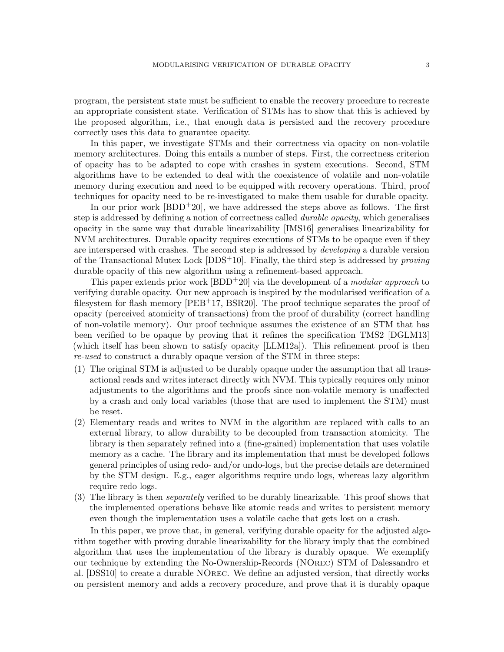program, the persistent state must be sufficient to enable the recovery procedure to recreate an appropriate consistent state. Verification of STMs has to show that this is achieved by the proposed algorithm, i.e., that enough data is persisted and the recovery procedure correctly uses this data to guarantee opacity.

In this paper, we investigate STMs and their correctness via opacity on non-volatile memory architectures. Doing this entails a number of steps. First, the correctness criterion of opacity has to be adapted to cope with crashes in system executions. Second, STM algorithms have to be extended to deal with the coexistence of volatile and non-volatile memory during execution and need to be equipped with recovery operations. Third, proof techniques for opacity need to be re-investigated to make them usable for durable opacity.

In our prior work  $[BDD^+20]$ , we have addressed the steps above as follows. The first step is addressed by defining a notion of correctness called *durable opacity*, which generalises opacity in the same way that durable linearizability [IMS16] generalises linearizability for NVM architectures. Durable opacity requires executions of STMs to be opaque even if they are interspersed with crashes. The second step is addressed by *developing* a durable version of the Transactional Mutex Lock  $[DDS^+10]$ . Finally, the third step is addressed by *proving* durable opacity of this new algorithm using a refinement-based approach.

This paper extends prior work  $\left[BDD+20\right]$  via the development of a *modular approach* to verifying durable opacity. Our new approach is inspired by the modularised verification of a filesystem for flash memory [PEB<sup>+</sup>17, BSR20]. The proof technique separates the proof of opacity (perceived atomicity of transactions) from the proof of durability (correct handling of non-volatile memory). Our proof technique assumes the existence of an STM that has been verified to be opaque by proving that it refines the specification TMS2 [\[DGLM13\]](#page-32-1) (which itself has been shown to satisfy opacity [\[LLM12a\]](#page-33-2)). This refinement proof is then re-used to construct a durably opaque version of the STM in three steps:

- (1) The original STM is adjusted to be durably opaque under the assumption that all transactional reads and writes interact directly with NVM. This typically requires only minor adjustments to the algorithms and the proofs since non-volatile memory is unaffected by a crash and only local variables (those that are used to implement the STM) must be reset.
- (2) Elementary reads and writes to NVM in the algorithm are replaced with calls to an external library, to allow durability to be decoupled from transaction atomicity. The library is then separately refined into a (fine-grained) implementation that uses volatile memory as a cache. The library and its implementation that must be developed follows general principles of using redo- and/or undo-logs, but the precise details are determined by the STM design. E.g., eager algorithms require undo logs, whereas lazy algorithm require redo logs.
- (3) The library is then separately verified to be durably linearizable. This proof shows that the implemented operations behave like atomic reads and writes to persistent memory even though the implementation uses a volatile cache that gets lost on a crash.

In this paper, we prove that, in general, verifying durable opacity for the adjusted algorithm together with proving durable linearizability for the library imply that the combined algorithm that uses the implementation of the library is durably opaque. We exemplify our technique by extending the No-Ownership-Records (NOrec) STM of Dalessandro et al. [DSS10] to create a durable NOrec. We define an adjusted version, that directly works on persistent memory and adds a recovery procedure, and prove that it is durably opaque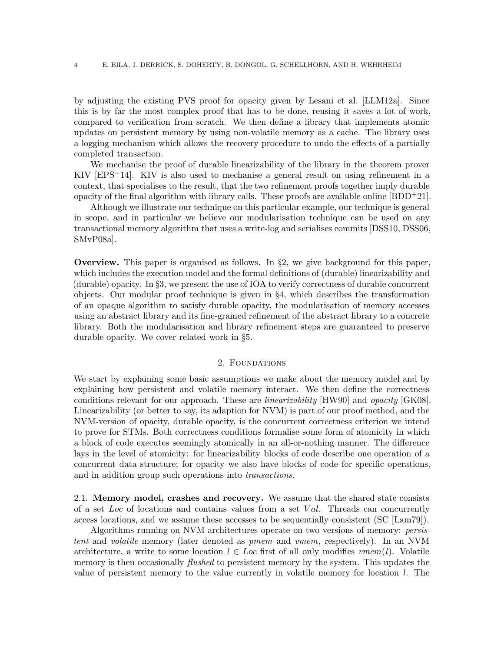by adjusting the existing PVS proof for opacity given by Lesani et al. [\[LLM12a\]](#page-33-2). Since this is by far the most complex proof that has to be done, reusing it saves a lot of work, compared to verification from scratch. We then define a library that implements atomic updates on persistent memory by using non-volatile memory as a cache. The library uses a logging mechanism which allows the recovery procedure to undo the effects of a partially completed transaction.

We mechanise the proof of durable linearizability of the library in the theorem prover KIV  $[EPS^+14]$ . KIV is also used to mechanise a general result on using refinement in a context, that specialises to the result, that the two refinement proofs together imply durable opacity of the final algorithm with library calls. These proofs are available online  $[BDD+21]$ .

Although we illustrate our technique on this particular example, our technique is general in scope, and in particular we believe our modularisation technique can be used on any transactional memory algorithm that uses a write-log and serialises commits [DSS10, [DSS06,](#page-32-4) [SMvP08a\]](#page-34-1).

**Overview.** This paper is organised as follows. In  $\S$ [2,](#page-3-0) we give background for this paper, which includes the execution model and the formal definitions of (durable) linearizability and (durable) opacity. In §[3,](#page-7-0) we present the use of IOA to verify correctness of durable concurrent objects. Our modular proof technique is given in §[4,](#page-15-0) which describes the transformation of an opaque algorithm to satisfy durable opacity, the modularisation of memory accesses using an abstract library and its fine-grained refinement of the abstract library to a concrete library. Both the modularisation and library refinement steps are guaranteed to preserve durable opacity. We cover related work in §[5.](#page-27-0)

# 2. FOUNDATIONS

<span id="page-3-0"></span>We start by explaining some basic assumptions we make about the memory model and by explaining how persistent and volatile memory interact. We then define the correctness conditions relevant for our approach. These are linearizability [\[HW90\]](#page-33-0) and opacity [\[GK08\]](#page-33-1). Linearizability (or better to say, its adaption for NVM) is part of our proof method, and the NVM-version of opacity, durable opacity, is the concurrent correctness criterion we intend to prove for STMs. Both correctness conditions formalise some form of atomicity in which a block of code executes seemingly atomically in an all-or-nothing manner. The difference lays in the level of atomicity: for linearizability blocks of code describe one operation of a concurrent data structure; for opacity we also have blocks of code for specific operations, and in addition group such operations into transactions.

2.1. Memory model, crashes and recovery. We assume that the shared state consists of a set  $Loc$  of locations and contains values from a set  $Val$ . Threads can concurrently access locations, and we assume these accesses to be sequentially consistent (SC [\[Lam79\]](#page-33-3)).

Algorithms running on NVM architectures operate on two versions of memory: persistent and volatile memory (later denoted as pmem and vmem, respectively). In an NVM architecture, a write to some location  $l \in Loc$  first of all only modifies  $vmem(l)$ . Volatile memory is then occasionally *flushed* to persistent memory by the system. This updates the value of persistent memory to the value currently in volatile memory for location l. The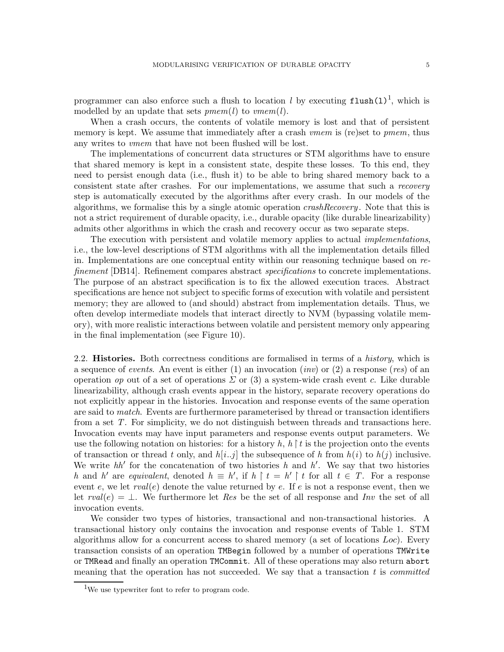programmer can also enforce such a flush to location l by executing  $\texttt{flux}(1)^1$  $\texttt{flux}(1)^1$  $\texttt{flux}(1)^1$ , which is modelled by an update that sets  $pmem(l)$  to  $vmem(l)$ .

When a crash occurs, the contents of volatile memory is lost and that of persistent memory is kept. We assume that immediately after a crash *vmem* is (re)set to *pmem*, thus any writes to vmem that have not been flushed will be lost.

The implementations of concurrent data structures or STM algorithms have to ensure that shared memory is kept in a consistent state, despite these losses. To this end, they need to persist enough data (i.e., flush it) to be able to bring shared memory back to a consistent state after crashes. For our implementations, we assume that such a recovery step is automatically executed by the algorithms after every crash. In our models of the algorithms, we formalise this by a single atomic operation crashRecovery . Note that this is not a strict requirement of durable opacity, i.e., durable opacity (like durable linearizability) admits other algorithms in which the crash and recovery occur as two separate steps.

The execution with persistent and volatile memory applies to actual *implementations*, i.e., the low-level descriptions of STM algorithms with all the implementation details filled in. Implementations are one conceptual entity within our reasoning technique based on refinement [DB14]. Refinement compares abstract *specifications* to concrete implementations. The purpose of an abstract specification is to fix the allowed execution traces. Abstract specifications are hence not subject to specific forms of execution with volatile and persistent memory; they are allowed to (and should) abstract from implementation details. Thus, we often develop intermediate models that interact directly to NVM (bypassing volatile memory), with more realistic interactions between volatile and persistent memory only appearing in the final implementation (see Figure [10\)](#page-26-0).

2.2. **Histories.** Both correctness conditions are formalised in terms of a *history*, which is a sequence of *events*. An event is either  $(1)$  an invocation  $(inv)$  or  $(2)$  a response (*res*) of an operation op out of a set of operations  $\Sigma$  or (3) a system-wide crash event c. Like durable linearizability, although crash events appear in the history, separate recovery operations do not explicitly appear in the histories. Invocation and response events of the same operation are said to match. Events are furthermore parameterised by thread or transaction identifiers from a set T. For simplicity, we do not distinguish between threads and transactions here. Invocation events may have input parameters and response events output parameters. We use the following notation on histories: for a history  $h, h \upharpoonright t$  is the projection onto the events of transaction or thread t only, and  $h[i..j]$  the subsequence of h from  $h(i)$  to  $h(j)$  inclusive. We write  $hh'$  for the concatenation of two histories h and h'. We say that two histories h and h' are equivalent, denoted  $h \equiv h'$ , if  $h \upharpoonright t = h' \upharpoonright t$  for all  $t \in T$ . For a response event e, we let  $rval(e)$  denote the value returned by e. If e is not a response event, then we let  $rval(e) = \perp$ . We furthermore let Res be the set of all response and Inv the set of all invocation events.

We consider two types of histories, transactional and non-transactional histories. A transactional history only contains the invocation and response events of Table [1.](#page-5-0) STM algorithms allow for a concurrent access to shared memory (a set of locations  $Loc$ ). Every transaction consists of an operation TMBegin followed by a number of operations TMWrite or TMRead and finally an operation TMCommit. All of these operations may also return abort meaning that the operation has not succeeded. We say that a transaction  $t$  is *committed* 

<span id="page-4-0"></span><sup>&</sup>lt;sup>1</sup>We use typewriter font to refer to program code.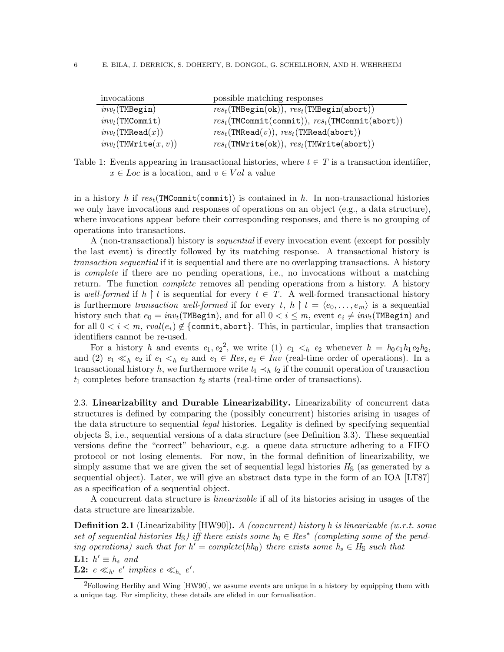| invocations                     | possible matching responses                                                              |
|---------------------------------|------------------------------------------------------------------------------------------|
| $inv_t$ (TMBegin)               | $res_t(\texttt{TMBegin(ok)}), res_t(\texttt{TMBegin(abort)})$                            |
| $inv_t(\texttt{TMCommit})$      | $res_t(\texttt{TMCommit}(\texttt{commit})), \, res_t(\texttt{TMCommit}(\texttt{abort}))$ |
| $inv_t(\texttt{TMRead}(x))$     | $res_t(\texttt{TMRead}(v)), \, res_t(\texttt{TMRead}(abort))$                            |
| $inv_t(\texttt{TMWrite}(x, v))$ | $res_t(\texttt{TMWrite(ok)}), res_t(\texttt{TMWrite(abort)})$                            |

<span id="page-5-0"></span>Table 1: Events appearing in transactional histories, where  $t \in T$  is a transaction identifier,  $x \in Loc$  is a location, and  $v \in Val$  a value

in a history h if  $res_t(\texttt{TMCommit}(commit))$  is contained in h. In non-transactional histories we only have invocations and responses of operations on an object (e.g., a data structure), where invocations appear before their corresponding responses, and there is no grouping of operations into transactions.

A (non-transactional) history is sequential if every invocation event (except for possibly the last event) is directly followed by its matching response. A transactional history is transaction sequential if it is sequential and there are no overlapping transactions. A history is complete if there are no pending operations, i.e., no invocations without a matching return. The function *complete* removes all pending operations from a history. A history is well-formed if  $h \restriction t$  is sequential for every  $t \in T$ . A well-formed transactional history is furthermore transaction well-formed if for every t,  $h \restriction t = \langle e_0, \ldots, e_m \rangle$  is a sequential history such that  $e_0 = inv_t(\texttt{TMBegin})$ , and for all  $0 < i \leq m$ , event  $e_i \neq inv_t(\texttt{TMBegin})$  and for all  $0 < i < m$ ,  $rval(e_i) \notin \{\text{commit}, \text{abort}\}\)$ . This, in particular, implies that transaction identifiers cannot be re-used.

For a history h and events  $e_1, e_2^2$  $e_1, e_2^2$  $e_1, e_2^2$ , we write (1)  $e_1 < h e_2$  whenever  $h = h_0 e_1 h_1 e_2 h_2$ , and (2)  $e_1 \ll_h e_2$  if  $e_1 \ll_h e_2$  and  $e_1 \in Res$ ,  $e_2 \in Inv$  (real-time order of operations). In a transactional history h, we furthermore write  $t_1 \prec_h t_2$  if the commit operation of transaction  $t_1$  completes before transaction  $t_2$  starts (real-time order of transactions).

<span id="page-5-2"></span>2.3. Linearizability and Durable Linearizability. Linearizability of concurrent data structures is defined by comparing the (possibly concurrent) histories arising in usages of the data structure to sequential *legal* histories. Legality is defined by specifying sequential objects S, i.e., sequential versions of a data structure (see Definition [3.3\)](#page-8-0). These sequential versions define the "correct" behaviour, e.g. a queue data structure adhering to a FIFO protocol or not losing elements. For now, in the formal definition of linearizability, we simply assume that we are given the set of sequential legal histories  $H<sub>S</sub>$  (as generated by a sequential object). Later, we will give an abstract data type in the form of an IOA [\[LT87\]](#page-33-4) as a specification of a sequential object.

A concurrent data structure is linearizable if all of its histories arising in usages of the data structure are linearizable.

**Definition 2.1** (Linearizability  $[HW90]$ ). A (concurrent) history h is linearizable (w.r.t. some set of sequential histories  $H_{\mathbb{S}}$ ) iff there exists some  $h_0 \in Res^*$  (completing some of the pending operations) such that for  $h' = complete(hh_0)$  there exists some  $h_s \in H_{\mathbb{S}}$  such that

**L1:**  $h' \equiv h_s$  and **L2:**  $e \ll_{h'} e'$  implies  $e \ll_{h_s} e'$ .

<span id="page-5-1"></span> ${}^{2}$ Following Herlihy and Wing [\[HW90\]](#page-33-0), we assume events are unique in a history by equipping them with a unique tag. For simplicity, these details are elided in our formalisation.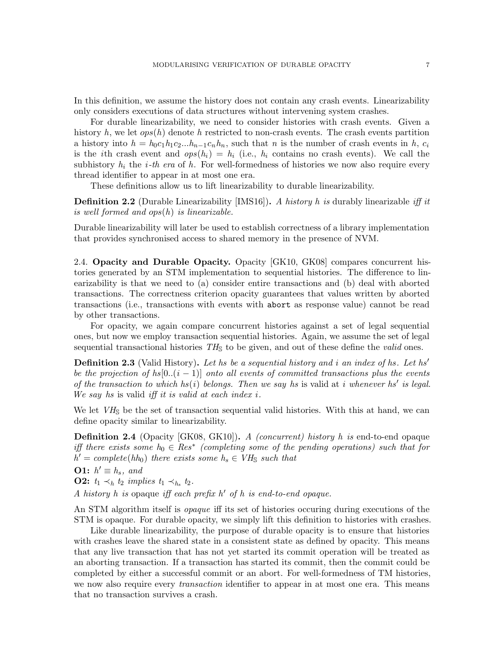In this definition, we assume the history does not contain any crash events. Linearizability only considers executions of data structures without intervening system crashes.

For durable linearizability, we need to consider histories with crash events. Given a history h, we let  $ops(h)$  denote h restricted to non-crash events. The crash events partition a history into  $h = h_0 c_1 h_1 c_2 ... h_{n-1} c_n h_n$ , such that n is the number of crash events in h,  $c_i$ is the *i*th crash event and  $ops(h_i) = h_i$  (i.e.,  $h_i$  contains no crash events). We call the subhistory  $h_i$  the *i*-th era of h. For well-formedness of histories we now also require every thread identifier to appear in at most one era.

These definitions allow us to lift linearizability to durable linearizability.

**Definition 2.2** (Durable Linearizability [IMS16]). A history h is durably linearizable iff it is well formed and ops(h) is linearizable.

Durable linearizability will later be used to establish correctness of a library implementation that provides synchronised access to shared memory in the presence of NVM.

2.4. Opacity and Durable Opacity. Opacity [\[GK10,](#page-33-5) [GK08\]](#page-33-1) compares concurrent histories generated by an STM implementation to sequential histories. The difference to linearizability is that we need to (a) consider entire transactions and (b) deal with aborted transactions. The correctness criterion opacity guarantees that values written by aborted transactions (i.e., transactions with events with abort as response value) cannot be read by other transactions.

For opacity, we again compare concurrent histories against a set of legal sequential ones, but now we employ transaction sequential histories. Again, we assume the set of legal sequential transactional histories  $TH<sub>S</sub>$  to be given, and out of these define the valid ones.

**Definition 2.3** (Valid History). Let hs be a sequential history and i an index of hs. Let hs' be the projection of hs[0..(i - 1)] onto all events of committed transactions plus the events of the transaction to which  $hs(i)$  belongs. Then we say hs is valid at i whenever hs' is legal. We say hs is valid iff it is valid at each index  $i$ .

We let  $V\dot{H}_{\rm S}$  be the set of transaction sequential valid histories. With this at hand, we can define opacity similar to linearizability.

**Definition 2.4** (Opacity [\[GK08,](#page-33-1) [GK10\]](#page-33-5)). A (concurrent) history h is end-to-end opaque iff there exists some  $h_0 \in Res^*$  (completing some of the pending operations) such that for  $h' = complete(hh_0)$  there exists some  $h_s \in VH_{\mathbb{S}}$  such that

**O1:**  $h' \equiv h_s$ , and

**O2:**  $t_1 \prec_h t_2$  implies  $t_1 \prec_{h_s} t_2$ .

A history h is opaque iff each prefix  $h'$  of h is end-to-end opaque.

An STM algorithm itself is *opaque* iff its set of histories occuring during executions of the STM is opaque. For durable opacity, we simply lift this definition to histories with crashes.

Like durable linearizability, the purpose of durable opacity is to ensure that histories with crashes leave the shared state in a consistent state as defined by opacity. This means that any live transaction that has not yet started its commit operation will be treated as an aborting transaction. If a transaction has started its commit, then the commit could be completed by either a successful commit or an abort. For well-formedness of TM histories, we now also require every *transaction* identifier to appear in at most one era. This means that no transaction survives a crash.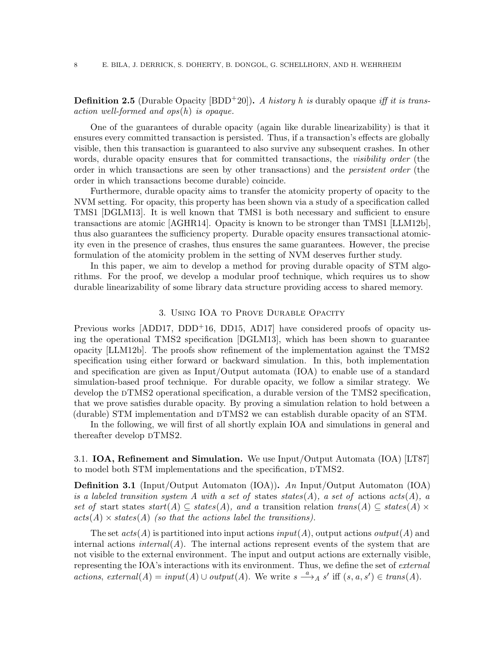**Definition 2.5** (Durable Opacity [BDD<sup>+</sup>20]). A history h is durably opaque iff it is transaction well-formed and ops(h) is opaque.

One of the guarantees of durable opacity (again like durable linearizability) is that it ensures every committed transaction is persisted. Thus, if a transaction's effects are globally visible, then this transaction is guaranteed to also survive any subsequent crashes. In other words, durable opacity ensures that for committed transactions, the *visibility order* (the order in which transactions are seen by other transactions) and the persistent order (the order in which transactions become durable) coincide.

Furthermore, durable opacity aims to transfer the atomicity property of opacity to the NVM setting. For opacity, this property has been shown via a study of a specification called TMS1 [\[DGLM13\]](#page-32-1). It is well known that TMS1 is both necessary and sufficient to ensure transactions are atomic [AGHR14]. Opacity is known to be stronger than TMS1 [\[LLM12b\]](#page-33-6), thus also guarantees the sufficiency property. Durable opacity ensures transactional atomicity even in the presence of crashes, thus ensures the same guarantees. However, the precise formulation of the atomicity problem in the setting of NVM deserves further study.

In this paper, we aim to develop a method for proving durable opacity of STM algorithms. For the proof, we develop a modular proof technique, which requires us to show durable linearizability of some library data structure providing access to shared memory.

#### 3. Using IOA to Prove Durable Opacity

<span id="page-7-0"></span>Previous works  $[ADD17, DDD+16, DD15, AD17]$  have considered proofs of opacity using the operational TMS2 specification [\[DGLM13\]](#page-32-1), which has been shown to guarantee opacity [\[LLM12b\]](#page-33-6). The proofs show refinement of the implementation against the TMS2 specification using either forward or backward simulation. In this, both implementation and specification are given as Input/Output automata (IOA) to enable use of a standard simulation-based proof technique. For durable opacity, we follow a similar strategy. We develop the  $DTMS2$  operational specification, a durable version of the TMS2 specification, that we prove satisfies durable opacity. By proving a simulation relation to hold between a (durable) STM implementation and  $DTMS2$  we can establish durable opacity of an STM.

In the following, we will first of all shortly explain IOA and simulations in general and thereafter develop  $DTMS2$ .

3.1. IOA, Refinement and Simulation. We use Input/Output Automata (IOA) [\[LT87\]](#page-33-4) to model both STM implementations and the specification,  $DTMS2$ .

Definition 3.1 (Input/Output Automaton (IOA)). An Input/Output Automaton (IOA) is a labeled transition system A with a set of states states(A), a set of actions  $acts(A)$ , a set of start states  $start(A) \subseteq states(A)$ , and a transition relation  $trans(A) \subseteq states(A) \times$  $acts(A) \times states(A)$  (so that the actions label the transitions).

The set  $acts(A)$  is partitioned into input actions  $input(A)$ , output actions  $output(A)$  and internal actions internal(A). The internal actions represent events of the system that are not visible to the external environment. The input and output actions are externally visible, representing the IOA's interactions with its environment. Thus, we define the set of *external* actions, external(A) = input(A) ∪ output(A). We write  $s \stackrel{a}{\longrightarrow}_A s'$  iff  $(s, a, s') \in trans(A)$ .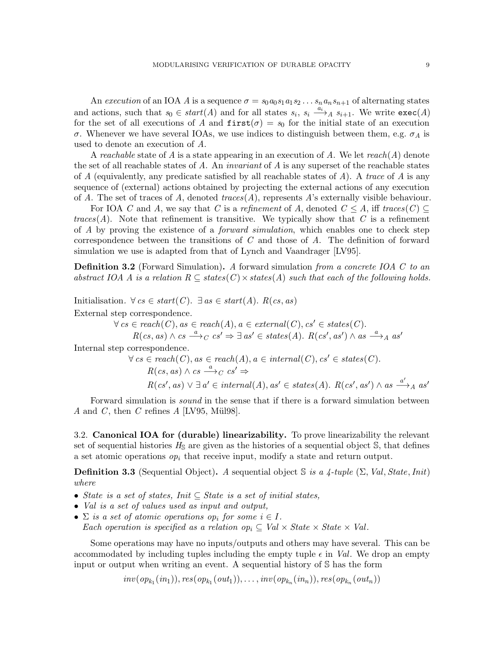An execution of an IOA A is a sequence  $\sigma = s_0 a_0 s_1 a_1 s_2 \ldots s_n a_n s_{n+1}$  of alternating states and actions, such that  $s_0 \in start(A)$  and for all states  $s_i$ ,  $s_i \xrightarrow{a_i} A s_{i+1}$ . We write  $exec(A)$ for the set of all executions of A and  $first(\sigma) = s_0$  for the initial state of an execution σ. Whenever we have several IOAs, we use indices to distinguish between them, e.g.  $\sigma_A$  is used to denote an execution of A.

A reachable state of A is a state appearing in an execution of A. We let reach(A) denote the set of all reachable states of  $A$ . An *invariant* of  $A$  is any superset of the reachable states of A (equivalently, any predicate satisfied by all reachable states of  $A$ ). A trace of  $A$  is any sequence of (external) actions obtained by projecting the external actions of any execution of A. The set of traces of A, denoted  $traces(A)$ , represents A's externally visible behaviour.

For IOA C and A, we say that C is a refinement of A, denoted  $C \leq A$ , iff traces  $(C) \subseteq$ traces(A). Note that refinement is transitive. We typically show that C is a refinement of A by proving the existence of a *forward simulation*, which enables one to check step correspondence between the transitions of C and those of A. The definition of forward simulation we use is adapted from that of Lynch and Vaandrager [\[LV95\]](#page-33-7).

<span id="page-8-1"></span>**Definition 3.2** (Forward Simulation). A forward simulation from a concrete IOA C to an abstract IOA A is a relation  $R \subseteq \text{states}(C) \times \text{states}(A)$  such that each of the following holds.

Initialisation.  $\forall cs \in start(C)$ .  $\exists as \in start(A)$ .  $R(cs, as)$ External step correspondence.

 $\forall cs \in reach(C), as \in reach(A), a \in external(C), cs' \in states(C).$ 

 $R(cs, as) \wedge cs \stackrel{a}{\longrightarrow}_C cs' \Rightarrow \exists \text{ as'} \in \text{states}(A). \ R(cs', as') \wedge \text{ as } \stackrel{a}{\longrightarrow}_A \text{ as'}$ 

Internal step correspondence.

$$
\forall cs \in reach(C), as \in reach(A), a \in internal(C), cs' \in states(C).
$$
  
\n
$$
R(cs, as) \land cs \xrightarrow{a} c cs' \Rightarrow
$$
  
\n
$$
R(cs', as) \lor \exists a' \in internal(A), as' \in states(A). R(cs', as') \land as \xrightarrow{a'} A as'
$$

Forward simulation is sound in the sense that if there is a forward simulation between A and C, then C refines A [\[LV95,](#page-33-7) Mül98].

3.2. Canonical IOA for (durable) linearizability. To prove linearizability the relevant set of sequential histories  $H_{\rm S}$  are given as the histories of a sequential object S, that defines a set atomic operations  $op_i$  that receive input, modify a state and return output.

<span id="page-8-0"></span>**Definition 3.3** (Sequential Object). A sequential object S is a 4-tuple  $(\Sigma, Val, State,Init)$ where

- State is a set of states, Init  $\subseteq$  State is a set of initial states,
- Val is a set of values used as input and output,
- $\Sigma$  is a set of atomic operations op<sub>i</sub> for some  $i \in I$ . Each operation is specified as a relation op<sub>i</sub>  $\subseteq$  Val  $\times$  State  $\times$  State  $\times$  Val.

Some operations may have no inputs/outputs and others may have several. This can be accommodated by including tuples including the empty tuple  $\epsilon$  in Val. We drop an empty input or output when writing an event. A sequential history of S has the form

 $inv(op_{k_1}(in_1)), res(op_{k_1}(out_1)), \ldots, inv(op_{k_n}(in_n)), res(op_{k_n}(out_n))$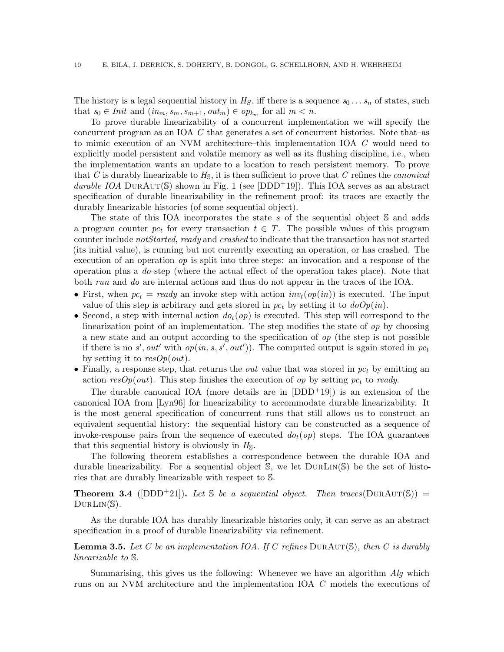The history is a legal sequential history in  $H_S$ , iff there is a sequence  $s_0 \ldots s_n$  of states, such that  $s_0 \in Init$  and  $(in_m, s_m, s_{m+1}, out_m) \in op_{k_m}$  for all  $m < n$ .

To prove durable linearizability of a concurrent implementation we will specify the concurrent program as an IOA C that generates a set of concurrent histories. Note that–as to mimic execution of an NVM architecture–this implementation IOA C would need to explicitly model persistent and volatile memory as well as its flushing discipline, i.e., when the implementation wants an update to a location to reach persistent memory. To prove that C is durably linearizable to  $H_{\rm S}$ , it is then sufficient to prove that C refines the *canonical* durable IOA DURAUT(S) shown in Fig. [1](#page-10-0) (see [DDD<sup>+</sup>19]). This IOA serves as an abstract specification of durable linearizability in the refinement proof: its traces are exactly the durably linearizable histories (of some sequential object).

The state of this IOA incorporates the state s of the sequential object S and adds a program counter  $pc_t$  for every transaction  $t \in T$ . The possible values of this program counter include notStarted, ready and crashed to indicate that the transaction has not started (its initial value), is running but not currently executing an operation, or has crashed. The execution of an operation  $op$  is split into three steps: an invocation and a response of the operation plus a do-step (where the actual effect of the operation takes place). Note that both run and do are internal actions and thus do not appear in the traces of the IOA.

- First, when  $pc_t = ready$  an invoke step with action  $inv_t(op(in))$  is executed. The input value of this step is arbitrary and gets stored in  $pc<sub>t</sub>$  by setting it to  $doOp(in)$ .
- Second, a step with internal action  $dofo_t$  is executed. This step will correspond to the linearization point of an implementation. The step modifies the state of  $op$  by choosing a new state and an output according to the specification of op (the step is not possible if there is no s', out' with  $op(in, s, s', out'))$ . The computed output is again stored in  $pc_t$ by setting it to  $\text{resOp}(out)$ .
- Finally, a response step, that returns the *out* value that was stored in  $pc<sub>t</sub>$  by emitting an action  $resOp(out)$ . This step finishes the execution of op by setting  $pc<sub>t</sub>$  to ready.

The durable canonical IOA (more details are in  $[DDD^+19]$ ) is an extension of the canonical IOA from [Lyn96] for linearizability to accommodate durable linearizability. It is the most general specification of concurrent runs that still allows us to construct an equivalent sequential history: the sequential history can be constructed as a sequence of invoke-response pairs from the sequence of executed  $dof(\mathfrak{op})$  steps. The IOA guarantees that this sequential history is obviously in  $H<sub>S</sub>$ .

The following theorem establishes a correspondence between the durable IOA and durable linearizability. For a sequential object  $\mathbb S$ , we let  $DURLIN(\mathbb S)$  be the set of histories that are durably linearizable with respect to S.

**Theorem 3.4** ([\[DDD](#page-32-5)<sup>+</sup>21]). Let S be a sequential object. Then traces( $DURAUT(S)$ ) =  $DURLIN(\mathbb{S}).$ 

As the durable IOA has durably linearizable histories only, it can serve as an abstract specification in a proof of durable linearizability via refinement.

<span id="page-9-0"></span>**Lemma 3.5.** Let C be an implementation IOA. If C refines DURAUT(S), then C is durably linearizable to S.

Summarising, this gives us the following: Whenever we have an algorithm Alg which runs on an NVM architecture and the implementation IOA C models the executions of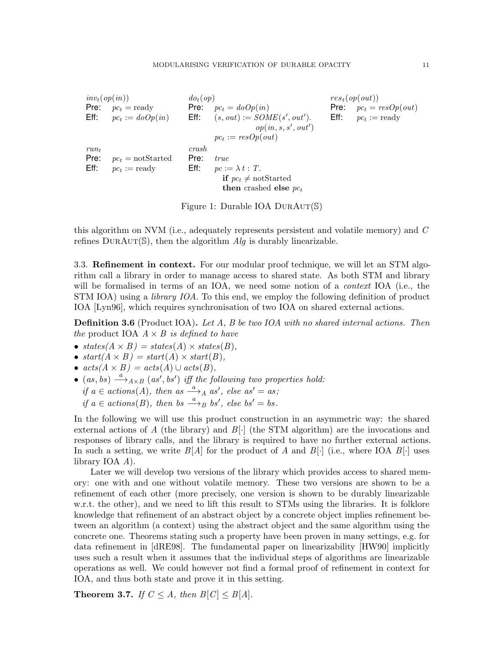| $inv_t(op(in))$ |                        | $do_t(op)$ |                                  |      | $rest(\text{op}(\text{out}))$      |
|-----------------|------------------------|------------|----------------------------------|------|------------------------------------|
| Pre:            | $pc_t = \text{ready}$  | Pre:       | $pc_t = doOp(in)$                | Pre: | $pc_t = resOp(out)$                |
| Eff:            | $pc_t := doOp(in)$     | Eff:       | $(s, out) := SOME(s', out').$    |      | <b>Eff:</b> $pc_t := \text{ready}$ |
|                 |                        |            | op(in, s, s', out')              |      |                                    |
|                 |                        |            | $pc_t := resOp(out)$             |      |                                    |
| $run_t$         |                        | crash      |                                  |      |                                    |
| Pre:            | $pc_t = notStarted$    | Pre:       | <i>true</i>                      |      |                                    |
| Eff:            | $pc_t := \text{ready}$ |            | Eff: $pc := \lambda t$ : T.      |      |                                    |
|                 |                        |            | <b>if</b> $pc_t \neq$ notStarted |      |                                    |
|                 |                        |            | then crashed else $pc_t$         |      |                                    |
|                 |                        |            |                                  |      |                                    |

<span id="page-10-0"></span>Figure 1: Durable IOA DURAUT(S)

this algorithm on NVM (i.e., adequately represents persistent and volatile memory) and C refines  $DurAur(\mathbb{S})$ , then the algorithm  $Alg$  is durably linearizable.

<span id="page-10-2"></span>3.3. Refinement in context. For our modular proof technique, we will let an STM algorithm call a library in order to manage access to shared state. As both STM and library will be formalised in terms of an IOA, we need some notion of a *context* IOA (i.e., the STM IOA) using a *library IOA*. To this end, we employ the following definition of product IOA [Lyn96], which requires synchronisation of two IOA on shared external actions.

**Definition 3.6** (Product IOA). Let A, B be two IOA with no shared internal actions. Then the product IOA  $A \times B$  is defined to have

- states( $A \times B$ ) = states( $A$ )  $\times$  states( $B$ ),
- $start(A \times B) = start(A) \times start(B)$ ,
- $acts(A \times B) = acts(A) \cup acts(B),$
- $(as, bs) \stackrel{a}{\longrightarrow}_{A \times B} (as', bs')$  iff the following two properties hold: if  $a \in \text{actions}(A)$ , then  $as \stackrel{a}{\longrightarrow}_A as'$ , else  $as' = as$ ; if  $a \in \text{actions}(B)$ , then bs  $\stackrel{a}{\longrightarrow}_B$  bs', else bs' = bs.

In the following we will use this product construction in an asymmetric way: the shared external actions of A (the library) and  $B[\cdot]$  (the STM algorithm) are the invocations and responses of library calls, and the library is required to have no further external actions. In such a setting, we write  $B[A]$  for the product of A and  $B[\cdot]$  (i.e., where IOA  $B[\cdot]$  uses library IOA A).

Later we will develop two versions of the library which provides access to shared memory: one with and one without volatile memory. These two versions are shown to be a refinement of each other (more precisely, one version is shown to be durably linearizable w.r.t. the other), and we need to lift this result to STMs using the libraries. It is folklore knowledge that refinement of an abstract object by a concrete object implies refinement between an algorithm (a context) using the abstract object and the same algorithm using the concrete one. Theorems stating such a property have been proven in many settings, e.g. for data refinement in [\[dRE98\]](#page-32-6). The fundamental paper on linearizability [\[HW90\]](#page-33-0) implicitly uses such a result when it assumes that the individual steps of algorithms are linearizable operations as well. We could however not find a formal proof of refinement in context for IOA, and thus both state and prove it in this setting.

<span id="page-10-1"></span>**Theorem 3.7.** If  $C \leq A$ , then  $B[C] \leq B[A]$ .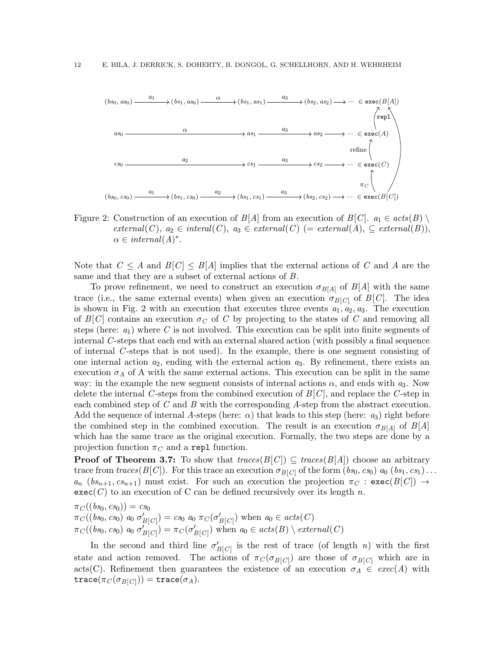

<span id="page-11-0"></span>Figure 2: Construction of an execution of  $B[A]$  from an execution of  $B[C]$ .  $a_1 \in acts(B) \setminus$  $external(C), a_2 \in internal(C), a_3 \in external(C) (= external(A), \subseteq external(B)),$  $\alpha \in internal(A)^*$ .

Note that  $C \leq A$  and  $B[C] \leq B[A]$  implies that the external actions of C and A are the same and that they are a subset of external actions of B.

To prove refinement, we need to construct an execution  $\sigma_{B[A]}$  of  $B[A]$  with the same trace (i.e., the same external events) when given an execution  $\sigma_{B[C]}$  of  $B[C]$ . The idea is shown in Fig. [2](#page-11-0) with an execution that executes three events  $a_1, a_2, a_3$ . The execution of  $B[C]$  contains an execution  $\sigma_C$  of C by projecting to the states of C and removing all steps (here:  $a_1$ ) where C is not involved. This execution can be split into finite segments of internal  $C$ -steps that each end with an external shared action (with possibly a final sequence of internal C -steps that is not used). In the example, there is one segment consisting of one internal action  $a_2$ , ending with the external action  $a_3$ . By refinement, there exists an execution  $\sigma_A$  of A with the same external actions. This execution can be split in the same way: in the example the new segment consists of internal actions  $\alpha$ , and ends with  $a_3$ . Now delete the internal C-steps from the combined execution of  $B[C]$ , and replace the C-step in each combined step of  $C$  and  $B$  with the corresponding  $A$ -step from the abstract execution. Add the sequence of internal A-steps (here:  $\alpha$ ) that leads to this step (here:  $a_3$ ) right before the combined step in the combined execution. The result is an execution  $\sigma_{B[A]}$  of  $B[A]$ which has the same trace as the original execution. Formally, the two steps are done by a projection function  $\pi_C$  and a repl function.

**Proof of Theorem [3.7:](#page-10-1)** To show that  $traces(B[C]) \subseteq traces(B[A])$  choose an arbitrary trace from  $traces(B[C])$ . For this trace an execution  $\sigma_{B[C]}$  of the form  $(bs_0, cs_0)$  a<sub>0</sub>  $(bs_1, cs_1)$ ...  $a_n$  ( $bs_{n+1}, cs_{n+1}$ ) must exist. For such an execution the projection  $\pi_C$ : exec( $B[C]$ )  $\rightarrow$  $\mathsf{exec}(C)$  to an execution of C can be defined recursively over its length n.

 $\pi_C((bs_0, cs_0)) = cs_0$  $\pi_C((bs_0, cs_0) \ a_0 \ \sigma'_{B[C]}) = cs_0 \ a_0 \ \pi_C(\sigma'_{B[C]})$  when  $a_0 \in acts(C)$  $\pi_C((bs_0, cs_0) \ a_0 \ \sigma'_{B[C]}) = \pi_C(\sigma'_{B[C]})$  when  $a_0 \in acts(B) \setminus external(C)$ 

In the second and third line  $\sigma'_{B[C]}$  is the rest of trace (of length n) with the first state and action removed. The actions of  $\pi_C(\sigma_{B[C]})$  are those of  $\sigma_{B[C]}$  which are in acts(C). Refinement then guarantees the existence of an execution  $\sigma_A \in \text{exec}(A)$  with  $\texttt{trace}(\pi_C(\sigma_{B[C]})) = \texttt{trace}(\sigma_A).$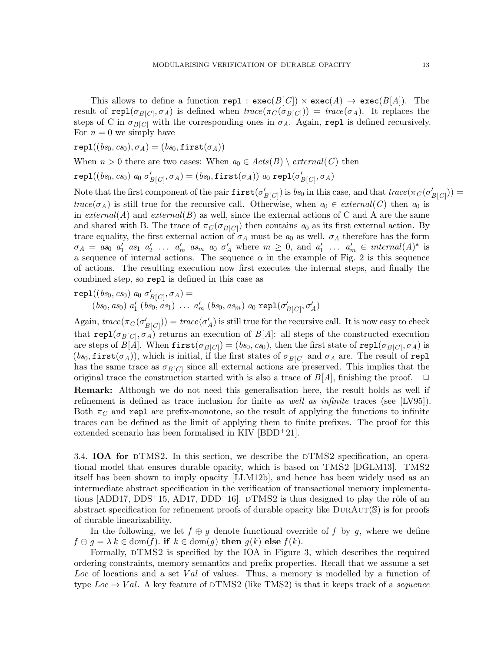This allows to define a function repl :  $exec(B[C]) \times exec(A) \rightarrow exec(B[A])$ . The result of repl $(\sigma_{B[C]}, \sigma_A)$  is defined when  $trace(\pi_C(\sigma_{B[C]})) = trace(\sigma_A)$ . It replaces the steps of C in  $\sigma_{B[C]}$  with the corresponding ones in  $\sigma_A$ . Again, repl is defined recursively. For  $n = 0$  we simply have

 $rep1((bs_0, cs_0), \sigma_A) = (bs_0, first(\sigma_A))$ 

When  $n > 0$  there are two cases: When  $a_0 \in \text{Acts}(B) \setminus \text{external}(C)$  then

 $\mathtt{repl}((\mathit{bs}_0, \mathit{cs}_0) \; a_0 \; \sigma'_{B[C]}, \sigma_A) = (\mathit{bs}_0, \mathtt{first}(\sigma_A)) \; a_0 \; \mathtt{repl}(\sigma'_{B[C]}, \sigma_A)$ 

Note that the first component of the pair  $first(\sigma'_{B[C]})$  is  $bs_0$  in this case, and that  $trace(\pi_C(\sigma'_{B[C]}))$  =  $trace(\sigma_A)$  is still true for the recursive call. Otherwise, when  $a_0 \in external(C)$  then  $a_0$  is in  $external(A)$  and  $external(B)$  as well, since the external actions of C and A are the same and shared with B. The trace of  $\pi_C(\sigma_{B[C]})$  then contains  $a_0$  as its first external action. By trace equality, the first external action of  $\sigma_A$  must be  $a_0$  as well.  $\sigma_A$  therefore has the form  $\sigma_A = as_0 a'_1 as_1 a'_2 \dots a'_m as_m a_0 \sigma'_A$  where  $m \geq 0$ , and  $a'_1 \dots a'_m \in internal(A)^*$  is a sequence of internal actions. The sequence  $\alpha$  in the example of Fig. [2](#page-11-0) is this sequence of actions. The resulting execution now first executes the internal steps, and finally the combined step, so repl is defined in this case as

$$
rep1((bs_0, cs_0) \ a_0 \ \sigma'_{B[C]}, \sigma_A) =
$$
  
(bs\_0, as\_0) \ a'\_1 (bs\_0, as\_1) \ \dots \ a'\_m (bs\_0, as\_m) \ a\_0 \ repl(\sigma'\_{B[C]}, \sigma'\_A)

Again,  $trace(\pi_C(\sigma'_{B[C]})) = trace(\sigma'_A)$  is still true for the recursive call. It is now easy to check that  $\text{repl}(\sigma_{B[C]}, \sigma_A)$  returns an execution of  $B[A]$ : all steps of the constructed execution are steps of  $B[A]$ . When  $\mathtt{first}(\sigma_{B[C]}) = (bs_0, cs_0),$  then the first state of  $\mathtt{repl}(\sigma_{B[C]}, \sigma_A)$  is  $(bs_0, \text{first}(\sigma_A))$ , which is initial, if the first states of  $\sigma_{B[C]}$  and  $\sigma_A$  are. The result of repl has the same trace as  $\sigma_{B[C]}$  since all external actions are preserved. This implies that the original trace the construction started with is also a trace of  $B[A]$ , finishing the proof.  $\Box$ **Remark:** Although we do not need this generalisation here, the result holds as well if refinement is defined as trace inclusion for finite as well as infinite traces (see [\[LV95\]](#page-33-7)). Both  $\pi_C$  and repl are prefix-monotone, so the result of applying the functions to infinite traces can be defined as the limit of applying them to finite prefixes. The proof for this extended scenario has been formalised in KIV [\[BDD](#page-32-3)<sup>+</sup>21].

3.4. IOA for  $DTMS2$ . In this section, we describe the  $DTMS2$  specification, an operational model that ensures durable opacity, which is based on TMS2 [\[DGLM13\]](#page-32-1). TMS2 itself has been shown to imply opacity [\[LLM12b\]](#page-33-6), and hence has been widely used as an intermediate abstract specification in the verification of transactional memory implementa-tions [ADD17, [DDS](#page-32-7)<sup>+</sup>15, AD17, DDD<sup>+</sup>16].  $\text{DTMS2}$  is thus designed to play the rôle of an abstract specification for refinement proofs of durable opacity like  $DURAUT(S)$  is for proofs of durable linearizability.

In the following, we let  $f \oplus g$  denote functional override of f by g, where we define  $f \oplus g = \lambda k \in \text{dom}(f)$ . if  $k \in \text{dom}(g)$  then  $g(k)$  else  $f(k)$ .

Formally,  $DTMS2$  is specified by the IOA in Figure [3,](#page-13-0) which describes the required ordering constraints, memory semantics and prefix properties. Recall that we assume a set Loc of locations and a set Val of values. Thus, a memory is modelled by a function of type  $Loc \rightarrow Val$ . A key feature of DTMS2 (like TMS2) is that it keeps track of a sequence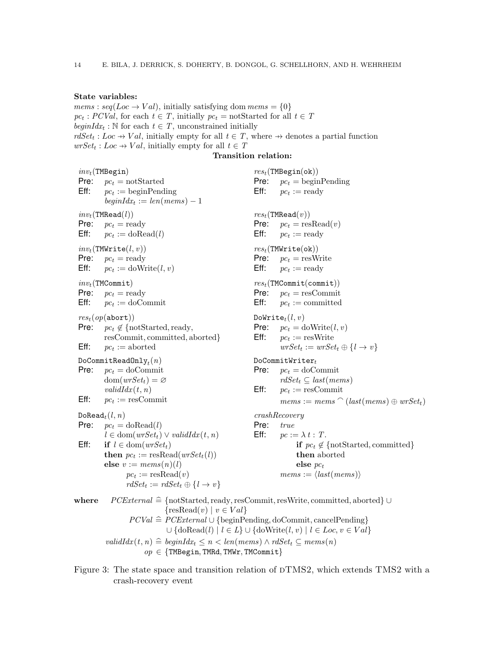# State variables:

*mems* :  $seq(Loc \rightarrow Val)$ , initially satisfying dom  $mens = \{0\}$  $pc_t$ :  $PCVal$ , for each  $t \in T$ , initially  $pc_t = \text{notStarted}$  for all  $t \in T$ beginId $x_t$ : N for each  $t \in T$ , unconstrained initially  $rdSet_t : Loc \rightarrow Val$ , initially empty for all  $t \in T$ , where  $\rightarrow$  denotes a partial function  $wrSet_t: Loc \rightarrow Val$ , initially empty for all  $t \in T$ Transition relation:

 $inv_t$ (TMBegin) **Pre:**  $pc_t = \text{notStarted}$  $Eff:$  $pc_t := \text{beginPending}$  $begin{aligned} \textit{begin} \textit{idx}_t := \textit{len}(\textit{mens}) - 1 \end{aligned}$  $res_t(\texttt{TMBegin}(\texttt{ok}))$ **Pre:**  $pc_t = \text{beginPending}$  $Eff:$  $pc_t := \text{ready}$  $inv_t(\texttt{TMRead}(l))$ Pre:  $pc_t = \text{ready}$ **Eff:**  $pc_t := \text{doRead}(l)$  $res_t(\texttt{TMRead}(v))$ **Pre:**  $pc_t =$  resRead(*v*)  $Eff:$  $pc_t :=$  ready  $inv_t(\texttt{TMWrite}(l, v))$ Pre:  $pc_t = ready$  $Eff:$  $pc_t := \text{doWrite}(l, v)$  $res_t(\texttt{TMWrite(ok)})$ **Pre:**  $pc_t =$  resWrite  $Eff:$  $pc_t := \text{ready}$  $inv_t(\texttt{TMCommit})$ **Pre:**  $pc_t = \text{ready}$  $Eff:$  $pc_t :=$  doCommit  $res_t(\texttt{TMCommit}(\texttt{commit}))$ **Pre:**  $pc_t = \text{resCommit}$  $Eff:$  $pc_t :=$  committed  $res_t(op(abort))$ **Pre:**  $pc_t \notin \{\text{notStarted}, \text{ready},\}$ resCommit, committed, aborted}  $Eff:$  $pc_t :=$  aborted DoWrite $_t(l, v)$ **Pre:**  $pc_t = \text{doWrite}(l, v)$  $Eff:$  $pc_t := \text{resWrite}$  $wrSet_t := wrSet_t \oplus \{l \rightarrow v\}$  $\mathtt{DoCommitReadOnly}_{t}(n)$ **Pre:**  $pc_t =$  doCommit  $dom(wrSet_t) = \varnothing$  $validIdx(t, n)$  $Eff$ :  $pc_t := \text{resCommit}$  $DoCommitWriteer_t$ **Pre:**  $pc_t =$  doCommit  $rdSet_t \subseteq last(mems)$  $Eff:$  $pc_t := \text{resCommit}$  $mems := mems$   $\cap$  (last(mems)  $\oplus$  wrSet<sub>t</sub>)  $D\noRead<sub>t</sub>(l, n)$ **Pre:**  $pc_t = \text{doRead}(l)$  $l \in \text{dom}(wrSet_t) \vee validIdx(t, n)$ Eff: if  $l \in \text{dom}(wrSet_t)$ **then**  $pc_t := resRead(wrSet_t(l))$ else  $v := mems(n)(l)$  $pc_t := \text{resRead}(v)$  $rdSet_t := rdSet_t \oplus \{l \rightarrow v\}$ crashRecovery Pre: true Eff:  $pc := \lambda t : T$ . if  $pc_t \notin \{\text{notStarted}, \text{committed}\}\$ then aborted else  $pc_t$  $mems := \langle last(mems) \rangle$ where  $PCExternal \cong {\text{notStarted}}, \text{ready}, \text{resCommit}, \text{result}, \text{committed}, \text{aborted} \} \cup$  $\{\text{resRead}(v) \mid v \in Val\}$  $PCVal \cong PCExternal \cup \{beginP}$ eginPending, doCommit, cancelPending}  $\cup \{\text{doRead}(l) \mid l \in L\} \cup \{\text{doWrite}(l, v) \mid l \in Loc, v \in Val\}$ validId $x(t, n) \triangleq$  beginId $x_t \leq n < len(mems) \wedge r dSet_t \subseteq mems(n)$  $op \in \{TMBegin, TMRd, TMWr, TMCommit\}$ 

<span id="page-13-0"></span>Figure 3: The state space and transition relation of  $DTMS2$ , which extends TMS2 with a crash-recovery event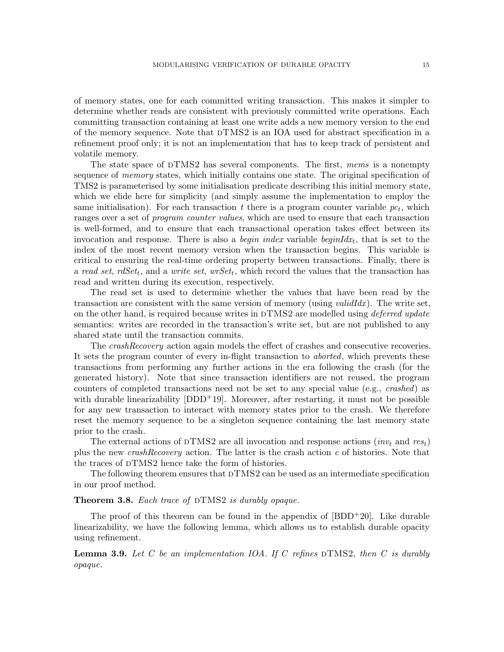of memory states, one for each committed writing transaction. This makes it simpler to determine whether reads are consistent with previously committed write operations. Each committing transaction containing at least one write adds a new memory version to the end of the memory sequence. Note that  $DTMS2$  is an IOA used for abstract specification in a refinement proof only; it is not an implementation that has to keep track of persistent and volatile memory.

The state space of  $DTMS2$  has several components. The first, mems is a nonempty sequence of *memory* states, which initially contains one state. The original specification of TMS2 is parameterised by some initialisation predicate describing this initial memory state, which we elide here for simplicity (and simply assume the implementation to employ the same initialisation). For each transaction  $t$  there is a program counter variable  $pc<sub>t</sub>$ , which ranges over a set of *program counter values*, which are used to ensure that each transaction is well-formed, and to ensure that each transactional operation takes effect between its invocation and response. There is also a *begin index* variable *beginIdx<sub>t</sub>*, that is set to the index of the most recent memory version when the transaction begins. This variable is critical to ensuring the real-time ordering property between transactions. Finally, there is a read set, rdSet<sub>t</sub>, and a write set,  $wrSet_t$ , which record the values that the transaction has read and written during its execution, respectively.

The read set is used to determine whether the values that have been read by the transaction are consistent with the same version of memory (using *validIdx*). The write set, on the other hand, is required because writes in  $DTMS2$  are modelled using *deferred update* semantics: writes are recorded in the transaction's write set, but are not published to any shared state until the transaction commits.

The *crashRecovery* action again models the effect of crashes and consecutive recoveries. It sets the program counter of every in-flight transaction to aborted, which prevents these transactions from performing any further actions in the era following the crash (for the generated history). Note that since transaction identifiers are not reused, the program counters of completed transactions need not be set to any special value (e.g., crashed) as with durable linearizability  $[DDD+19]$ . Moreover, after restarting, it must not be possible for any new transaction to interact with memory states prior to the crash. We therefore reset the memory sequence to be a singleton sequence containing the last memory state prior to the crash.

The external actions of DTMS2 are all invocation and response actions (inv<sub>t</sub> and rest) plus the new *crashRecovery* action. The latter is the crash action  $c$  of histories. Note that the traces of  $DTMS2$  hence take the form of histories.

The following theorem ensures that  $DTMS2$  can be used as an intermediate specification in our proof method.

## <span id="page-14-0"></span>**Theorem 3.8.** Each trace of  $\text{DTMS2}$  is durably opaque.

The proof of this theorem can be found in the appendix of  $[BDD+20]$ . Like durable linearizability, we have the following lemma, which allows us to establish durable opacity using refinement.

**Lemma 3.9.** Let C be an implementation IOA. If C refines  $DTMS2$ , then C is durably opaque.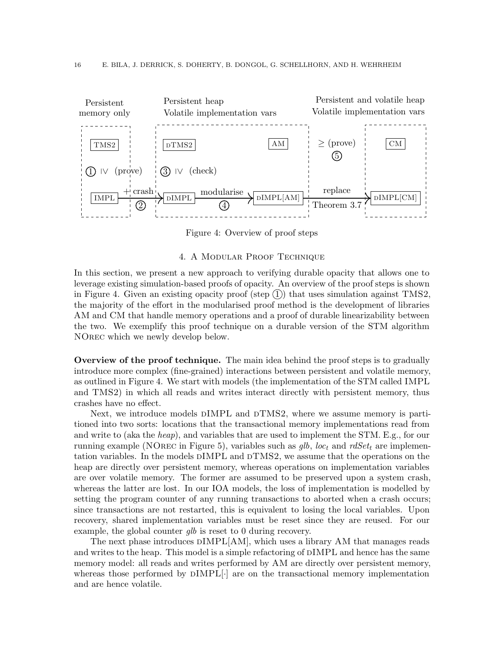

<span id="page-15-1"></span>Figure 4: Overview of proof steps

# 4. A Modular Proof Technique

<span id="page-15-0"></span>In this section, we present a new approach to verifying durable opacity that allows one to leverage existing simulation-based proofs of opacity. An overview of the proof steps is shown in Figure [4.](#page-15-1) Given an existing opacity proof (step  $(1)$ ) that uses simulation against TMS2, the majority of the effort in the modularised proof method is the development of libraries AM and CM that handle memory operations and a proof of durable linearizability between the two. We exemplify this proof technique on a durable version of the STM algorithm NOrec which we newly develop below.

Overview of the proof technique. The main idea behind the proof steps is to gradually introduce more complex (fine-grained) interactions between persistent and volatile memory, as outlined in Figure [4.](#page-15-1) We start with models (the implementation of the STM called IMPL and TMS2) in which all reads and writes interact directly with persistent memory, thus crashes have no effect.

Next, we introduce models  $\text{DIMPL}$  and  $\text{DTMS2}$ , where we assume memory is partitioned into two sorts: locations that the transactional memory implementations read from and write to (aka the *heap*), and variables that are used to implement the STM. E.g., for our running example (NOREC in Figure [5\)](#page-18-0), variables such as  $glb, loc_t$  and  $rdSet_t$  are implementation variables. In the models DIMPL and DTMS2, we assume that the operations on the heap are directly over persistent memory, whereas operations on implementation variables are over volatile memory. The former are assumed to be preserved upon a system crash, whereas the latter are lost. In our IOA models, the loss of implementation is modelled by setting the program counter of any running transactions to aborted when a crash occurs; since transactions are not restarted, this is equivalent to losing the local variables. Upon recovery, shared implementation variables must be reset since they are reused. For our example, the global counter *qlb* is reset to 0 during recovery.

The next phase introduces  $\text{DIMPL}[\text{AM}]$ , which uses a library AM that manages reads and writes to the heap. This model is a simple refactoring of DIMPL and hence has the same memory model: all reads and writes performed by AM are directly over persistent memory, whereas those performed by  $DIMPL[\cdot]$  are on the transactional memory implementation and are hence volatile.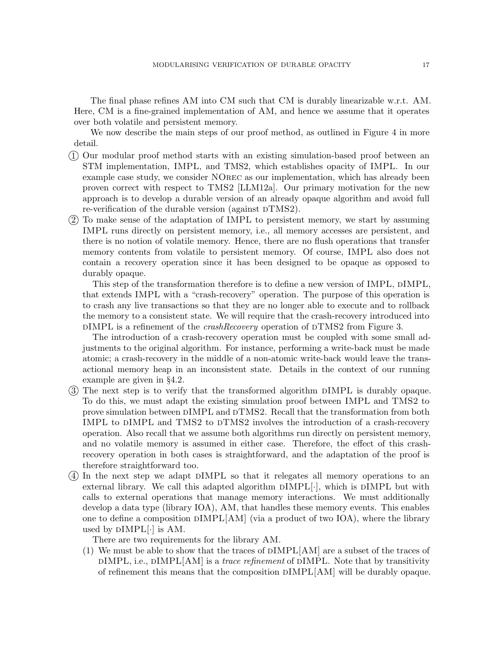The final phase refines AM into CM such that CM is durably linearizable w.r.t. AM. Here, CM is a fine-grained implementation of AM, and hence we assume that it operates over both volatile and persistent memory.

We now describe the main steps of our proof method, as outlined in Figure [4](#page-15-1) in more detail.

- 1 Our modular proof method starts with an existing simulation-based proof between an STM implementation, IMPL, and TMS2, which establishes opacity of IMPL. In our example case study, we consider NOrec as our implementation, which has already been proven correct with respect to TMS2 [\[LLM12a\]](#page-33-2). Our primary motivation for the new approach is to develop a durable version of an already opaque algorithm and avoid full re-verification of the durable version (against  $DTMS2$ ).
- 2 To make sense of the adaptation of IMPL to persistent memory, we start by assuming IMPL runs directly on persistent memory, i.e., all memory accesses are persistent, and there is no notion of volatile memory. Hence, there are no flush operations that transfer memory contents from volatile to persistent memory. Of course, IMPL also does not contain a recovery operation since it has been designed to be opaque as opposed to durably opaque.

This step of the transformation therefore is to define a new version of IMPL,  $\text{DIMPL}$ , that extends IMPL with a "crash-recovery" operation. The purpose of this operation is to crash any live transactions so that they are no longer able to execute and to rollback the memory to a consistent state. We will require that the crash-recovery introduced into  $\text{DIMPL}$  is a refinement of the *crashRecovery* operation of  $\text{DTMS2}$  from Figure [3.](#page-13-0)

The introduction of a crash-recovery operation must be coupled with some small adjustments to the original algorithm. For instance, performing a write-back must be made atomic; a crash-recovery in the middle of a non-atomic write-back would leave the transactional memory heap in an inconsistent state. Details in the context of our running example are given in §[4.2.](#page-19-0)

- 3 The next step is to verify that the transformed algorithm dIMPL is durably opaque. To do this, we must adapt the existing simulation proof between IMPL and TMS2 to prove simulation between  $\text{DIMPL}$  and  $\text{DTMS2}$ . Recall that the transformation from both IMPL to DIMPL and TMS2 to DTMS2 involves the introduction of a crash-recovery operation. Also recall that we assume both algorithms run directly on persistent memory, and no volatile memory is assumed in either case. Therefore, the effect of this crashrecovery operation in both cases is straightforward, and the adaptation of the proof is therefore straightforward too.
- 4 In the next step we adapt dIMPL so that it relegates all memory operations to an external library. We call this adapted algorithm  $DIMPL[\cdot]$ , which is  $DIMPL$  but with calls to external operations that manage memory interactions. We must additionally develop a data type (library IOA), AM, that handles these memory events. This enables one to define a composition  $\text{DIMPL}[\text{AM}]$  (via a product of two IOA), where the library used by  $\text{DIMPL}[\cdot]$  is AM.

There are two requirements for the library AM.

(1) We must be able to show that the traces of dIMPL[AM] are a subset of the traces of  $\text{DIMPL},$  i.e.,  $\text{DIMPL}[\text{AM}]$  is a *trace refinement* of  $\text{DIMPL}$ . Note that by transitivity of refinement this means that the composition dIMPL[AM] will be durably opaque.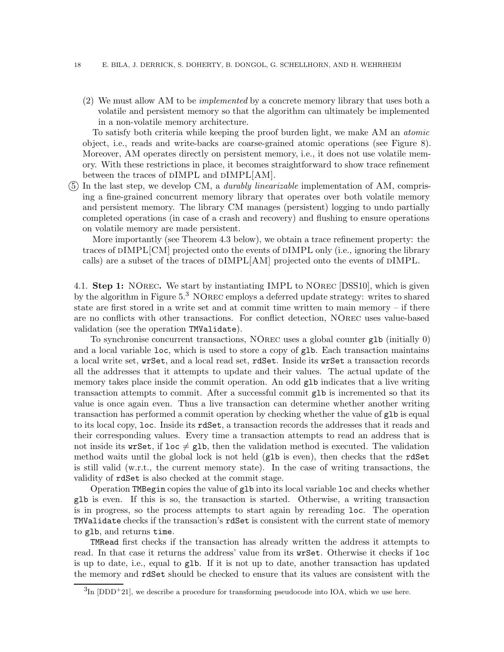(2) We must allow AM to be implemented by a concrete memory library that uses both a volatile and persistent memory so that the algorithm can ultimately be implemented in a non-volatile memory architecture.

To satisfy both criteria while keeping the proof burden light, we make AM an atomic object, i.e., reads and write-backs are coarse-grained atomic operations (see Figure [8\)](#page-22-0). Moreover, AM operates directly on persistent memory, i.e., it does not use volatile memory. With these restrictions in place, it becomes straightforward to show trace refinement between the traces of  $\text{DIMPL}$  and  $\text{DIMPL}[\text{AM}].$ 

(5) In the last step, we develop CM, a *durably linearizable* implementation of AM, comprising a fine-grained concurrent memory library that operates over both volatile memory and persistent memory. The library CM manages (persistent) logging to undo partially completed operations (in case of a crash and recovery) and flushing to ensure operations on volatile memory are made persistent.

More importantly (see Theorem [4.3](#page-24-0) below), we obtain a trace refinement property: the traces of dIMPL[CM] projected onto the events of dIMPL only (i.e., ignoring the library calls) are a subset of the traces of  $\text{DIMPL}[\text{AM}]$  projected onto the events of  $\text{DIMPL}$ .

4.1. Step 1: NOrec. We start by instantiating IMPL to NOrec [DSS10], which is given by the algorithm in Figure  $5<sup>3</sup>$  $5<sup>3</sup>$  $5<sup>3</sup>$  NOREC employs a deferred update strategy: writes to shared state are first stored in a write set and at commit time written to main memory – if there are no conflicts with other transactions. For conflict detection, NOrec uses value-based validation (see the operation TMValidate).

To synchronise concurrent transactions, NOrec uses a global counter glb (initially 0) and a local variable loc, which is used to store a copy of glb. Each transaction maintains a local write set, wrSet, and a local read set, rdSet. Inside its wrSet a transaction records all the addresses that it attempts to update and their values. The actual update of the memory takes place inside the commit operation. An odd glb indicates that a live writing transaction attempts to commit. After a successful commit glb is incremented so that its value is once again even. Thus a live transaction can determine whether another writing transaction has performed a commit operation by checking whether the value of glb is equal to its local copy, loc. Inside its rdSet, a transaction records the addresses that it reads and their corresponding values. Every time a transaction attempts to read an address that is not inside its wrSet, if loc  $\neq$  glb, then the validation method is executed. The validation method waits until the global lock is not held (glb is even), then checks that the rdSet is still valid (w.r.t., the current memory state). In the case of writing transactions, the validity of rdSet is also checked at the commit stage.

Operation TMBegin copies the value of glb into its local variable loc and checks whether glb is even. If this is so, the transaction is started. Otherwise, a writing transaction is in progress, so the process attempts to start again by rereading loc. The operation TMValidate checks if the transaction's rdSet is consistent with the current state of memory to glb, and returns time.

TMRead first checks if the transaction has already written the address it attempts to read. In that case it returns the address' value from its wrSet. Otherwise it checks if loc is up to date, i.e., equal to glb. If it is not up to date, another transaction has updated the memory and rdSet should be checked to ensure that its values are consistent with the

<span id="page-17-0"></span> ${}^{3}\text{In}$  [\[DDD](#page-32-5)<sup>+</sup>21], we describe a procedure for transforming pseudocode into IOA, which we use here.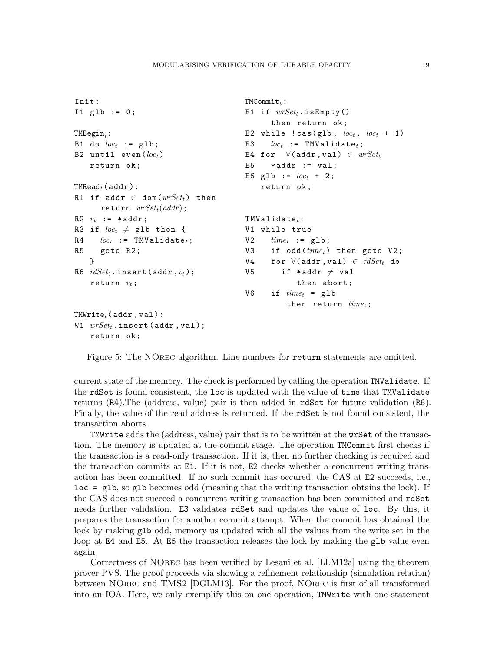```
Init :
I1 glb := 0;TMBegin_t:
B1 do loc_t := g1b;
B2 until even (loc_t)return ok ;
\texttt{TMRead}_{t}(\texttt{addr}):R1 if addr \in dom(wrSet_t) then
      return wrSet_t(addr);
R2 v_t := *addr;
R3 if loc_t \neq glb then {
R4 loc_t := TMValidate<sub>t</sub>;
R5 goto R2 ;
    }
R6 rdSet_t. insert (addr, v_t);
    return v_t;
TMWrite_t (addr, val):
W1 wrSet_t. insert (addr, val);
   return ok ;
                                          TMCommit_t:E1 if wrSet_t. is Empty()
                                                 then return ok;
                                          E2 while ! \text{cas}(\text{glb}, \text{loc}_t, \text{loc}_t + 1)E3 loc_t := TMValidate<sub>t</sub>;
                                          E4 for \forall(addr, val) \in wrSet_tE5 *addr := val;E6 glb := loc_t + 2;
                                              return ok ;
                                          TMValidate_t:
                                          V1 while true
                                          V2 time_t := glb;
                                          V3 if odd (time_t) then goto V2;
                                          V4 for \forall(addr, val) \in rdSet_t do
                                          V5 if *addr \neq val
                                                        then abort ;
                                          V6 if time_t = glb
                                                     then return time_t;
```
<span id="page-18-0"></span>Figure 5: The NOrec algorithm. Line numbers for return statements are omitted.

current state of the memory. The check is performed by calling the operation TMValidate. If the rdSet is found consistent, the loc is updated with the value of time that TMValidate returns (R4).The (address, value) pair is then added in rdSet for future validation (R6). Finally, the value of the read address is returned. If the rdSet is not found consistent, the transaction aborts.

TMWrite adds the (address, value) pair that is to be written at the wrSet of the transaction. The memory is updated at the commit stage. The operation TMCommit first checks if the transaction is a read-only transaction. If it is, then no further checking is required and the transaction commits at E1. If it is not, E2 checks whether a concurrent writing transaction has been committed. If no such commit has occured, the CAS at E2 succeeds, i.e., loc = glb, so glb becomes odd (meaning that the writing transaction obtains the lock). If the CAS does not succeed a concurrent writing transaction has been committed and rdSet needs further validation. E3 validates rdSet and updates the value of loc. By this, it prepares the transaction for another commit attempt. When the commit has obtained the lock by making glb odd, memory us updated with all the values from the write set in the loop at E4 and E5. At E6 the transaction releases the lock by making the glb value even again.

Correctness of NOrec has been verified by Lesani et al. [\[LLM12a\]](#page-33-2) using the theorem prover PVS. The proof proceeds via showing a refinement relationship (simulation relation) between NOrec and TMS2 [\[DGLM13\]](#page-32-1). For the proof, NOrec is first of all transformed into an IOA. Here, we only exemplify this on one operation, TMWrite with one statement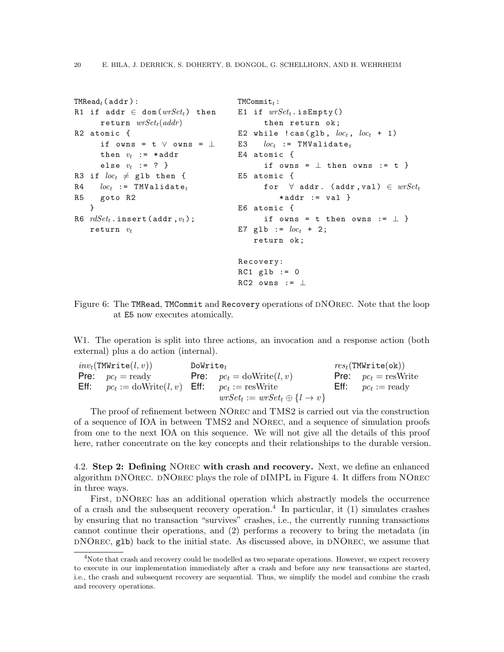```
TMRead_t (addr):R1 if addr \in dom(wrSet_t) then
      return wrSet_t(addr)R2 atomic {
      if owns = t \vee owns = \perpthen v_t := *addr
      else v_t := ? }
R3 if loc_t \neq glb then {
R4 loc_t := TMValidate<sub>t</sub>
R5 goto R2
   }
R6 rdSet_t. insert (addr, v_t);
   return v_tTMCommit_t:E1 if wrSet_t. is Empty()
                                              then return ok;
                                        E2 while ! \text{cas}(\text{glb}, \text{loc}_t, \text{loc}_t + 1)E3 loc_t := TMValidate<sub>t</sub>
                                        E4 atomic {
                                              if owns = \perp then owns := t }
                                        E5 atomic {
                                              for \forall addr. (addr, val) \in wrSet_t*addr := val}
                                        E6 atomic {
                                              if owns = t then owns := \perp }
                                        E7 g1b := loc_t + 2;
                                            return ok ;
                                        Recovery:
                                        RC1 glb := 0RC2 owns := \perp
```
<span id="page-19-2"></span>Figure 6: The TMRead, TMCommit and Recovery operations of DNOREC. Note that the loop at E5 now executes atomically.

W1. The operation is split into three actions, an invocation and a response action (both external) plus a do action (internal).

| $inv_t(\texttt{TMWrite}(l, v))$                                                  | $Dowrite_{t}$ |                                                 | $res_t(\texttt{TMWrite(ok)})$        |
|----------------------------------------------------------------------------------|---------------|-------------------------------------------------|--------------------------------------|
| <b>Pre:</b> $pc_t = \text{ready}$                                                |               | <b>Pre:</b> $pc_t = \text{doWrite}(l, v)$       | <b>Pre:</b> $pc_t = \text{resWrite}$ |
| <b>Eff:</b> $pc_t := \text{doWrite}(l, v)$ <b>Eff:</b> $pc_t := \text{resWrite}$ |               |                                                 | <b>Eff:</b> $pc_t := ready$          |
|                                                                                  |               | $wrSet_t := wrSet_t \oplus \{l \rightarrow v\}$ |                                      |

The proof of refinement between NOrec and TMS2 is carried out via the construction of a sequence of IOA in between TMS2 and NOrec, and a sequence of simulation proofs from one to the next IOA on this sequence. We will not give all the details of this proof here, rather concentrate on the key concepts and their relationships to the durable version.

<span id="page-19-0"></span>4.2. Step 2: Defining NOrec with crash and recovery. Next, we define an enhanced algorithm DNOREC. DNOREC plays the role of DIMPL in Figure [4.](#page-15-1) It differs from NOREC in three ways.

First, dNOrec has an additional operation which abstractly models the occurrence of a crash and the subsequent recovery operation.<sup>[4](#page-19-1)</sup> In particular, it (1) simulates crashes by ensuring that no transaction "survives" crashes, i.e., the currently running transactions cannot continue their operations, and (2) performs a recovery to bring the metadata (in  $DNOREC$ ,  $g1b$ ) back to the initial state. As discussed above, in  $DNOREC$ , we assume that

<span id="page-19-1"></span><sup>&</sup>lt;sup>4</sup>Note that crash and recovery could be modelled as two separate operations. However, we expect recovery to execute in our implementation immediately after a crash and before any new transactions are started, i.e., the crash and subsequent recovery are sequential. Thus, we simplify the model and combine the crash and recovery operations.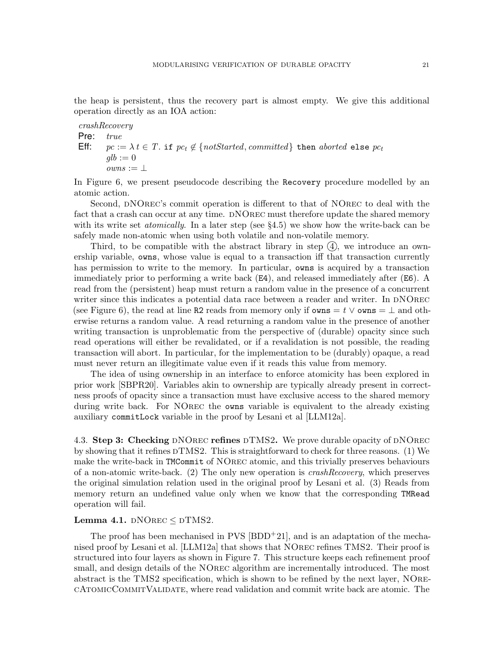the heap is persistent, thus the recovery part is almost empty. We give this additional operation directly as an IOA action:

crashRecovery

```
Pre: true
Eff: pc := \lambda t \in T. if pc_t \notin \{notStudented, committed\} then aborted else pc_tqlb := 0owns := \bot
```
In Figure [6,](#page-19-2) we present pseudocode describing the Recovery procedure modelled by an atomic action.

Second, DNOREC's commit operation is different to that of NOREC to deal with the fact that a crash can occur at any time. DNOREC must therefore update the shared memory with its write set *atomically*. In a later step (see  $\S 4.5$ ) we show how the write-back can be safely made non-atomic when using both volatile and non-volatile memory.

Third, to be compatible with the abstract library in step  $(4)$ , we introduce an ownership variable, owns, whose value is equal to a transaction iff that transaction currently has permission to write to the memory. In particular, owns is acquired by a transaction immediately prior to performing a write back (E4), and released immediately after (E6). A read from the (persistent) heap must return a random value in the presence of a concurrent writer since this indicates a potential data race between a reader and writer. In DNOREC (see Figure [6\)](#page-19-2), the read at line R2 reads from memory only if  $\alpha$  owns =  $t \vee \alpha$  wns =  $\bot$  and otherwise returns a random value. A read returning a random value in the presence of another writing transaction is unproblematic from the perspective of (durable) opacity since such read operations will either be revalidated, or if a revalidation is not possible, the reading transaction will abort. In particular, for the implementation to be (durably) opaque, a read must never return an illegitimate value even if it reads this value from memory.

The idea of using ownership in an interface to enforce atomicity has been explored in prior work [\[SBPR20\]](#page-34-2). Variables akin to ownership are typically already present in correctness proofs of opacity since a transaction must have exclusive access to the shared memory during write back. For NOrec the owns variable is equivalent to the already existing auxiliary commitLock variable in the proof by Lesani et al [\[LLM12a\]](#page-33-2).

4.3. Step 3: Checking DNOREC refines DTMS2. We prove durable opacity of DNOREC by showing that it refines  $DTMS2$ . This is straightforward to check for three reasons. (1) We make the write-back in TMCommit of NOrec atomic, and this trivially preserves behaviours of a non-atomic write-back. (2) The only new operation is  $crash Recovery$ , which preserves the original simulation relation used in the original proof by Lesani et al. (3) Reads from memory return an undefined value only when we know that the corresponding TMRead operation will fail.

# <span id="page-20-0"></span>Lemma 4.1.  $D$ NOREC  $\leq$  DTMS2.

The proof has been mechanised in PVS  $[BDD+21]$ , and is an adaptation of the mechanised proof by Lesani et al. [\[LLM12a\]](#page-33-2) that shows that NOrec refines TMS2. Their proof is structured into four layers as shown in Figure [7.](#page-21-0) This structure keeps each refinement proof small, and design details of the NOrec algorithm are incrementally introduced. The most abstract is the TMS2 specification, which is shown to be refined by the next layer, NOrecAtomicCommitValidate, where read validation and commit write back are atomic. The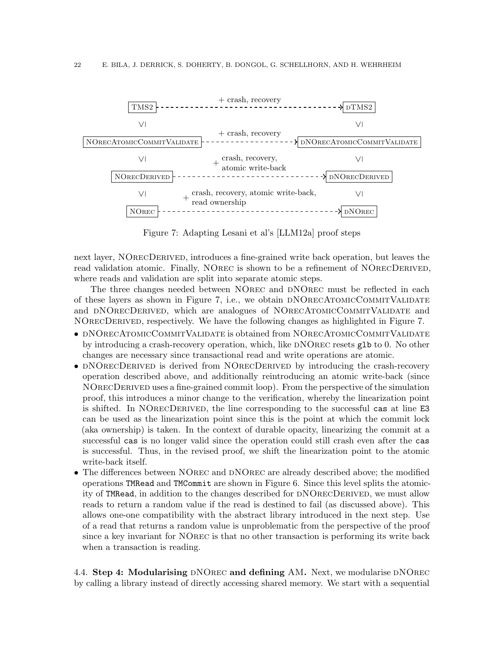

<span id="page-21-0"></span>Figure 7: Adapting Lesani et al's [\[LLM12a\]](#page-33-2) proof steps

next layer, NOrecDerived, introduces a fine-grained write back operation, but leaves the read validation atomic. Finally, NOREC is shown to be a refinement of NORECDERIVED, where reads and validation are split into separate atomic steps.

The three changes needed between NOrec and dNOrec must be reflected in each of these layers as shown in Figure [7,](#page-21-0) i.e., we obtain dNOrecAtomicCommitValidate and DNORECDERIVED, which are analogues of NORECATOMICCOMMITVALIDATE and NOrecDerived, respectively. We have the following changes as highlighted in Figure [7.](#page-21-0)

- DNORECATOMICCOMMITVALIDATE is obtained from NORECATOMICCOMMITVALIDATE by introducing a crash-recovery operation, which, like DNOREC resets glb to 0. No other changes are necessary since transactional read and write operations are atomic.
- DNORECDERIVED is derived from NORECDERIVED by introducing the crash-recovery operation described above, and additionally reintroducing an atomic write-back (since NOrecDerived uses a fine-grained commit loop). From the perspective of the simulation proof, this introduces a minor change to the verification, whereby the linearization point is shifted. In NOrecDerived, the line corresponding to the successful cas at line E3 can be used as the linearization point since this is the point at which the commit lock (aka ownership) is taken. In the context of durable opacity, linearizing the commit at a successful cas is no longer valid since the operation could still crash even after the cas is successful. Thus, in the revised proof, we shift the linearization point to the atomic write-back itself.
- The differences between NOREC and DNOREC are already described above; the modified operations TMRead and TMCommit are shown in Figure [6.](#page-19-2) Since this level splits the atomicity of TMRead, in addition to the changes described for DNORECDERIVED, we must allow reads to return a random value if the read is destined to fail (as discussed above). This allows one-one compatibility with the abstract library introduced in the next step. Use of a read that returns a random value is unproblematic from the perspective of the proof since a key invariant for NOrec is that no other transaction is performing its write back when a transaction is reading.

4.4. Step 4: Modularising DNOREC and defining AM. Next, we modularise DNOREC by calling a library instead of directly accessing shared memory. We start with a sequential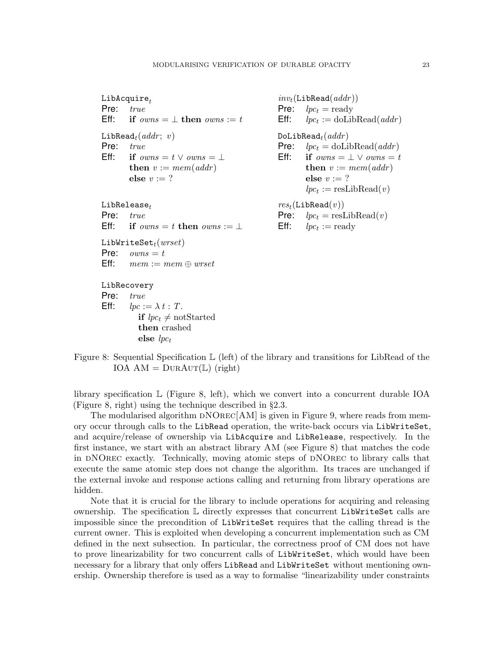$LibAcquire_t$ Pre: true Eff: if  $owns = \perp$  then  $owns := t$ LibRead<sub>t</sub> $(addr; v)$ Pre: true Eff: if  $owns = t \vee owns = \bot$ then  $v := mem(\text{addr})$ else  $v := ?$  $LibRelease_t$ Pre: true Eff: if  $owns = t$  then  $owns := \perp$ LibWriteSet $_t(wrset)$ Pre:  $owns = t$ **Eff:**  $mem := mem \oplus wrset$ LibRecovery Pre: true

Eff:  $lpc := \lambda t$  : T. if  $lpc_t \neq \text{notStarted}$ then crashed else  $lpc_t$ 

 $inv_t(\texttt{LibRead}(addr))$ Pre:  $lpc_t = ready$ **Eff:**  $lpc_t := \text{doLibRead}(addr)$  $D$ oLibRead $_t(addr)$ **Pre:**  $lpc_t = \text{doLibRead}(addr)$ Eff: if  $owns = \perp \vee owns = t$ then  $v := mem(\alpha ddr)$ else  $v := ?$  $lpc_t := \text{resLibRead}(v)$  $res_t(\text{LibRead}(v))$ **Pre:**  $lpc_t = \text{resLibRead}(v)$ **Eff:**  $lpc_t := \text{ready}$ 

<span id="page-22-0"></span>Figure 8: Sequential Specification L (left) of the library and transitions for LibRead of the IOA  $AM = DURAUT(L)$  (right)

library specification L (Figure [8,](#page-22-0) left), which we convert into a concurrent durable IOA (Figure [8,](#page-22-0) right) using the technique described in §[2.3.](#page-5-2)

The modularised algorithm  $DNOREC[AM]$  is given in Figure [9,](#page-23-0) where reads from memory occur through calls to the LibRead operation, the write-back occurs via LibWriteSet, and acquire/release of ownership via LibAcquire and LibRelease, respectively. In the first instance, we start with an abstract library AM (see Figure [8\)](#page-22-0) that matches the code in dNOrec exactly. Technically, moving atomic steps of dNOrec to library calls that execute the same atomic step does not change the algorithm. Its traces are unchanged if the external invoke and response actions calling and returning from library operations are hidden.

Note that it is crucial for the library to include operations for acquiring and releasing ownership. The specification  $\mathbb L$  directly expresses that concurrent LibWriteSet calls are impossible since the precondition of LibWriteSet requires that the calling thread is the current owner. This is exploited when developing a concurrent implementation such as CM defined in the next subsection. In particular, the correctness proof of CM does not have to prove linearizability for two concurrent calls of LibWriteSet, which would have been necessary for a library that only offers LibRead and LibWriteSet without mentioning ownership. Ownership therefore is used as a way to formalise "linearizability under constraints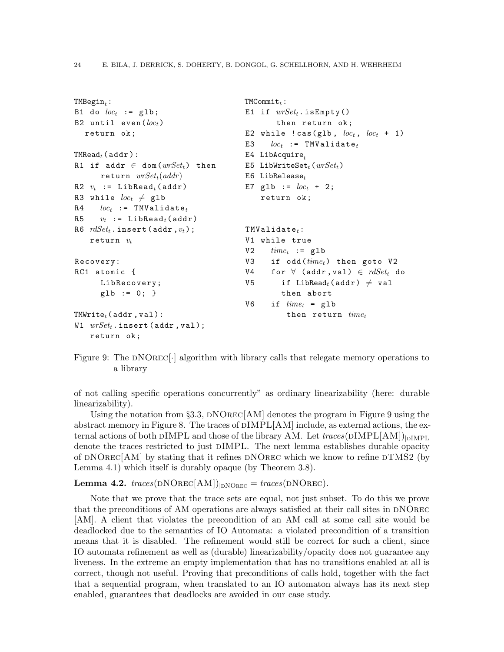```
TMBegin_t:
B1 do loc_t := glb;
B2 until even (loc_t)return ok ;
\texttt{TMRead}_{t}(\texttt{addr}):R1 if addr \in dom(wrSet_t) then
      return wrSet_t(addr)R2 v_t := LibRead<sub>t</sub> (addr)
R3 while loc_t \neq glb
R4 loc_t := TMValidate<sub>t</sub>
R5 v_t := LibRead<sub>t</sub> (addr)
R6 rdSet_t. insert (addr, v_t);
    return v_tRecovery:
RC1 atomic {
      LibRecovery;
      g1b := 0; }
TWWrite_t (addr, val):
W1 wrSet_t. insert (addr, val);
    return ok ;
                                             TMCommit_t:E1 if wrSet_t. is Empty()
                                                      then return ok;
                                              E2 while ! \text{cas}(\text{glb}, \text{loc}_t, \text{loc}_t + 1)E3 loc_t := TMValidate<sub>t</sub>
                                              E4 LibAcquire,
                                              E5 LibWriteSet<sub>t</sub> (wrSet_t)
                                              E6 LibRelease<sub>t</sub></sub>
                                              E7 glb := loc_t + 2;
                                                  return ok ;
                                              TWalidate_t:
                                              V1 while true
                                              V2 time_t := glb
                                              V3 if odd (time<sub>t</sub>) then goto V2
                                              V4 for \forall (addr, val) \in rdSet_t do
                                              V5 if LibRead<sub>t</sub> (addr) \neq val
                                                       then abort
                                              V6 if time_t = g1bthen return time_t
```
<span id="page-23-0"></span>Figure 9: The  $\text{DNOREC}$ . algorithm with library calls that relegate memory operations to a library

of not calling specific operations concurrently" as ordinary linearizability (here: durable linearizability).

Using the notation from §[3.3,](#page-10-2)  $\text{DNOREC}[\text{AM}]$  denotes the program in Figure [9](#page-23-0) using the abstract memory in Figure [8.](#page-22-0) The traces of dIMPL[AM] include, as external actions, the external actions of both DIMPL and those of the library AM. Let  $traces(DIMPL[AM])_{\text{IMPIL}}$ denote the traces restricted to just dIMPL. The next lemma establishes durable opacity of  $\text{DNORec}[\text{AM}]$  by stating that it refines  $\text{DNORec}$  which we know to refine  $\text{DTMS2}$  (by Lemma [4.1\)](#page-20-0) which itself is durably opaque (by Theorem [3.8\)](#page-14-0).

<span id="page-23-1"></span>**Lemma 4.2.**  $traces(DNOREC[AM])_{|DNOREC} = traces(DNOREC)$ .

Note that we prove that the trace sets are equal, not just subset. To do this we prove that the preconditions of AM operations are always satisfied at their call sites in DNOREC [AM]. A client that violates the precondition of an AM call at some call site would be deadlocked due to the semantics of IO Automata: a violated precondition of a transition means that it is disabled. The refinement would still be correct for such a client, since IO automata refinement as well as (durable) linearizability/opacity does not guarantee any liveness. In the extreme an empty implementation that has no transitions enabled at all is correct, though not useful. Proving that preconditions of calls hold, together with the fact that a sequential program, when translated to an IO automaton always has its next step enabled, guarantees that deadlocks are avoided in our case study.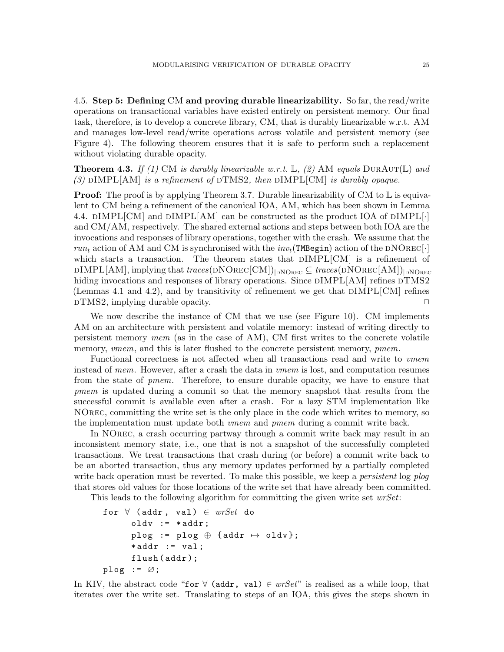<span id="page-24-1"></span>4.5. Step 5: Defining CM and proving durable linearizability. So far, the read/write operations on transactional variables have existed entirely on persistent memory. Our final task, therefore, is to develop a concrete library, CM, that is durably linearizable w.r.t. AM and manages low-level read/write operations across volatile and persistent memory (see Figure [4\)](#page-15-1). The following theorem ensures that it is safe to perform such a replacement without violating durable opacity.

<span id="page-24-0"></span>**Theorem 4.3.** If (1) CM is durably linearizable w.r.t.  $\mathbb{L}$ , (2) AM equals  $DurAur(\mathbb{L})$  and (3)  $\text{DIMPL}[\text{AM}]$  is a refinement of  $\text{DTMS2}$ , then  $\text{DIMPL}[\text{CM}]$  is durably opaque.

**Proof:** The proof is by applying Theorem [3.7.](#page-10-1) Durable linearizability of CM to  $\mathbb{L}$  is equivalent to CM being a refinement of the canonical IOA, AM, which has been shown in Lemma [4.4.](#page-25-0)  $\text{DIMPL}[\text{CM}]$  and  $\text{DIMPL}[\text{AM}]$  can be constructed as the product IOA of  $\text{DIMPL}[\cdot]$ and CM/AM, respectively. The shared external actions and steps between both IOA are the invocations and responses of library operations, together with the crash. We assume that the  $run_t$  action of AM and CM is synchronised with the  $inv_t(\texttt{TMBegin})$  action of the DNOREC<sup>[.]</sup> which starts a transaction. The theorem states that  $DIMPL[CM]$  is a refinement of  $\text{DIMPL}[\text{AM}]$ , implying that traces( $\text{DNOREC}[\text{CM}])_{\text{INOREC}} \subseteq \text{traces}(\text{DNOREC}[\text{AM}])_{\text{IDNOREC}}$ hiding invocations and responses of library operations. Since  $\text{DIMPL}[\text{AM}]$  refines  $\text{DTMS2}$ (Lemmas [4.1](#page-20-0) and [4.2\)](#page-23-1), and by transitivity of refinement we get that  $DIMPL[CM]$  refines dTMS2, implying durable opacity. ✷

We now describe the instance of CM that we use (see Figure [10\)](#page-26-0). CM implements AM on an architecture with persistent and volatile memory: instead of writing directly to persistent memory mem (as in the case of AM), CM first writes to the concrete volatile memory, vmem, and this is later flushed to the concrete persistent memory, pmem.

Functional correctness is not affected when all transactions read and write to vmem instead of mem. However, after a crash the data in vmem is lost, and computation resumes from the state of pmem. Therefore, to ensure durable opacity, we have to ensure that pmem is updated during a commit so that the memory snapshot that results from the successful commit is available even after a crash. For a lazy STM implementation like NOrec, committing the write set is the only place in the code which writes to memory, so the implementation must update both vmem and pmem during a commit write back.

In NOrec, a crash occurring partway through a commit write back may result in an inconsistent memory state, i.e., one that is not a snapshot of the successfully completed transactions. We treat transactions that crash during (or before) a commit write back to be an aborted transaction, thus any memory updates performed by a partially completed write back operation must be reverted. To make this possible, we keep a *persistent* log plog that stores old values for those locations of the write set that have already been committed.

This leads to the following algorithm for committing the given write set  $wrSet$ :

```
for \forall (addr, val) \in wrSet do
      oldv := *addr;plog := plog \oplus {addr \mapsto oldv};
      *addr := val;flush (addr);
plog := \varnothing;
```
In KIV, the abstract code "for  $\forall$  (addr, val)  $\in$  wrSet" is realised as a while loop, that iterates over the write set. Translating to steps of an IOA, this gives the steps shown in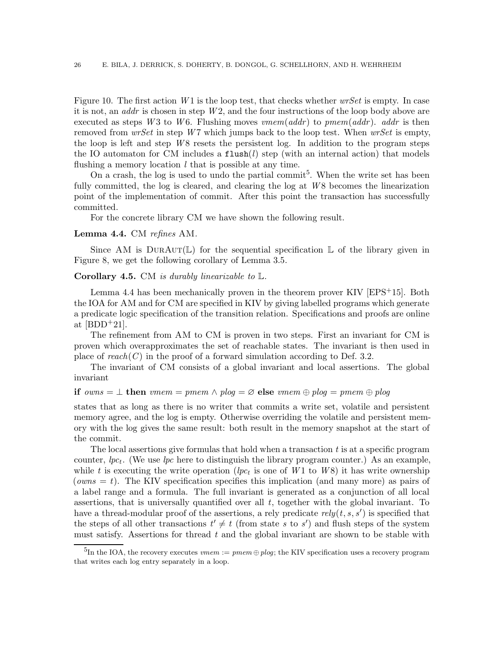Figure [10.](#page-26-0) The first action  $W1$  is the loop test, that checks whether  $wrSet$  is empty. In case it is not, an *addr* is chosen in step  $W2$ , and the four instructions of the loop body above are executed as steps W3 to W6. Flushing moves  $vmem(addr)$  to  $pmem(addr)$ . addr is then removed from  $wrSet$  in step W7 which jumps back to the loop test. When  $wrSet$  is empty, the loop is left and step  $W8$  resets the persistent log. In addition to the program steps the IO automaton for CM includes a  $\text{flux}(l)$  step (with an internal action) that models flushing a memory location  $l$  that is possible at any time.

On a crash, the log is used to undo the partial commit<sup>[5](#page-25-1)</sup>. When the write set has been fully committed, the log is cleared, and clearing the log at  $W8$  becomes the linearization point of the implementation of commit. After this point the transaction has successfully committed.

For the concrete library CM we have shown the following result.

#### <span id="page-25-0"></span>Lemma 4.4. CM refines AM.

Since AM is DURAUT(L) for the sequential specification L of the library given in Figure [8,](#page-22-0) we get the following corollary of Lemma [3.5.](#page-9-0)

## **Corollary 4.5.** CM is durably linearizable to  $\mathbb{L}$ .

Lemma [4.4](#page-25-0) has been mechanically proven in the theorem prover KIV  $[EPS^+15]$ . Both the IOA for AM and for CM are specified in KIV by giving labelled programs which generate a predicate logic specification of the transition relation. Specifications and proofs are online at  $[BDD+21]$ .

The refinement from AM to CM is proven in two steps. First an invariant for CM is proven which overapproximates the set of reachable states. The invariant is then used in place of  $reach(C)$  in the proof of a forward simulation according to Def. [3.2.](#page-8-1)

The invariant of CM consists of a global invariant and local assertions. The global invariant

## if owns  $= \perp$  then vmem  $= pmem \wedge plog = \varnothing$  else vmem  $\oplus plog = pmem \oplus plog$

states that as long as there is no writer that commits a write set, volatile and persistent memory agree, and the log is empty. Otherwise overriding the volatile and persistent memory with the log gives the same result: both result in the memory snapshot at the start of the commit.

The local assertions give formulas that hold when a transaction  $t$  is at a specific program counter,  $lpc_t$ . (We use  $lpc$  here to distinguish the library program counter.) As an example, while t is executing the write operation ( $lpc_t$  is one of  $W1$  to  $W8$ ) it has write ownership (*owns = t*). The KIV specification specifies this implication (and many more) as pairs of a label range and a formula. The full invariant is generated as a conjunction of all local assertions, that is universally quantified over all  $t$ , together with the global invariant. To have a thread-modular proof of the assertions, a rely predicate  $rely(t, s, s')$  is specified that the steps of all other transactions  $t' \neq t$  (from state s to s') and flush steps of the system must satisfy. Assertions for thread  $t$  and the global invariant are shown to be stable with

<span id="page-25-1"></span> $^{5}$ In the IOA, the recovery executes *vmem* :=  $pmem \oplus plog$ ; the KIV specification uses a recovery program that writes each log entry separately in a loop.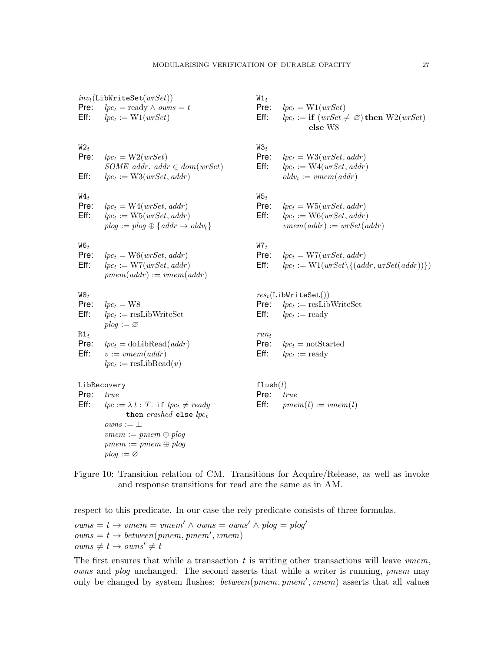| Pre:<br>Eff:                                     | $inv_t(\texttt{LibWriteSet}(wrSet))$<br>$lpc_t = ready \wedge owns = t$<br>$lpc_t := W1(wrSet)$                                                                                        | $W1_t$<br>Pre:<br>Eff:                  | $lpc_t = W1(wrSet)$<br>$lpc_t := \textbf{if} (wrSet \neq \emptyset) \textbf{then } W2(wrSet)$<br>else W8                             |
|--------------------------------------------------|----------------------------------------------------------------------------------------------------------------------------------------------------------------------------------------|-----------------------------------------|--------------------------------------------------------------------------------------------------------------------------------------|
| $W2_t$<br>Pre:<br>Eff:                           | $lpc_t = W2(wrSet)$<br>SOME addr. addr $\in dom(wrSet)$<br>$lpc_t := W3(wrSet, addr)$                                                                                                  | $W3_t$<br>Pre:<br>Eff:                  | $lpc_t = W3(wrSet, addr)$<br>$lpc_t := W4(wrSet, addr)$<br>$oldv_t := vmem(addr)$                                                    |
| $W_4$<br>Pre:<br>Eff:                            | $lpc_t = W4(wrSet, addr)$<br>$lpc_t := \text{W5}(wrSet, addr)$<br>$plog := plog \oplus \{addr \rightarrow oldv_t\}$                                                                    | $W5_t$<br>Pre:<br>Eff:                  | $lpc_t = W5(wrSet, addr)$<br>$lpc_t := \text{W6}(wrSet, addr)$<br>$vmem(addr) := wrSet(addr)$                                        |
| $W6_t$<br>Pre:<br>Eff:                           | $lpc_t = \text{W6}(wrSet, addr)$<br>$lpc_t := \text{W7}(wrSet, addr)$<br>$pmem(addr) := vmem(addr)$                                                                                    | $W7_t$<br>Pre:<br>Eff:                  | $lpc_t = \mathrm{W7}(wrSet, addr)$<br>$lpc_t := W1(wrSet \setminus \{(addr, wrSet(addr))\})$                                         |
| $W8_t$<br>Pre:<br>Eff:<br>$R1_t$<br>Pre:<br>Eff: | $lpc_t = W8$<br>$lpc_t := \text{resLibWriteSet}$<br>$plog := \varnothing$<br>$lpc_t = \text{doLibRead}(addr)$<br>$v := vmem(addr)$<br>$lpc_t := \text{resLibRead}(v)$                  | Pre:<br>Eff:<br>$run_t$<br>Pre:<br>Eff: | $res_t(\texttt{LibWriteSet}() )$<br>$lpc_t := \text{resLibWriteSet}$<br>$lpc_t := ready$<br>$lpc_t = notStarted$<br>$lpc_t := ready$ |
| Pre:<br>Eff:                                     | LibRecovery<br>true<br>$lpc := \lambda t$ : T. if $lpc_t \neq ready$<br>then <i>crashed</i> else $lpc_t$<br>$owns := \bot$<br>$vmem := pmem \oplus plog$<br>$pmem := pmem \oplus plog$ | flush $(l)$<br>Pre:<br>Eff:             | true<br>$pmem(l) := vmem(l)$                                                                                                         |

<span id="page-26-0"></span>Figure 10: Transition relation of CM. Transitions for Acquire/Release, as well as invoke and response transitions for read are the same as in AM.

respect to this predicate. In our case the rely predicate consists of three formulas.

 $owns = t \rightarrow vmem = vmem' \land owns = owns' \land plog = plog'$  $owns = t \rightarrow between(pmem, pmem', vmem)$  $owns \neq t \rightarrow owns' \neq t$ 

 $p \log := \varnothing$ 

The first ensures that while a transaction  $t$  is writing other transactions will leave  $vmem$ , owns and plog unchanged. The second asserts that while a writer is running, pmem may only be changed by system flushes: *between*(pmem, pmem', vmem) asserts that all values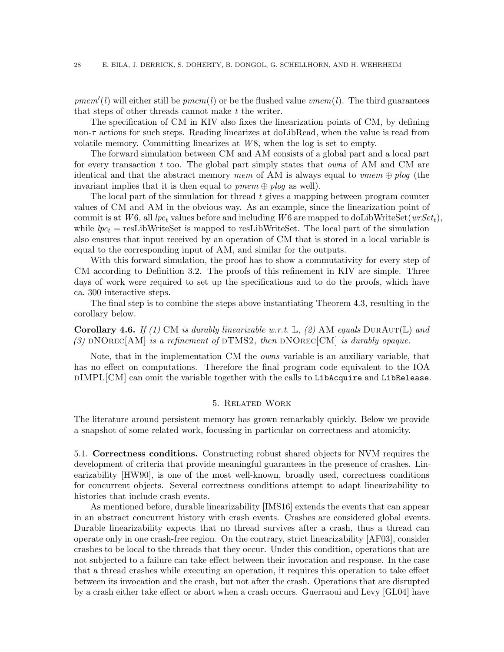$pmem'(l)$  will either still be  $pmem(l)$  or be the flushed value  $vmem(l)$ . The third guarantees that steps of other threads cannot make t the writer.

The specification of CM in KIV also fixes the linearization points of CM, by defining non- $\tau$  actions for such steps. Reading linearizes at doLibRead, when the value is read from volatile memory. Committing linearizes at  $W_8$ , when the log is set to empty.

The forward simulation between CM and AM consists of a global part and a local part for every transaction t too. The global part simply states that *owns* of AM and CM are identical and that the abstract memory mem of AM is always equal to vmem  $\oplus$  plog (the invariant implies that it is then equal to  $pmem \oplus plog$  as well).

The local part of the simulation for thread  $t$  gives a mapping between program counter values of CM and AM in the obvious way. As an example, since the linearization point of commit is at W6, all lpc<sub>t</sub> values before and including W6 are mapped to doLibWriteSet( $wrSet_t$ ), while  $lpc_t$  = resLibWriteSet is mapped to resLibWriteSet. The local part of the simulation also ensures that input received by an operation of CM that is stored in a local variable is equal to the corresponding input of AM, and similar for the outputs.

With this forward simulation, the proof has to show a commutativity for every step of CM according to Definition [3.2.](#page-8-1) The proofs of this refinement in KIV are simple. Three days of work were required to set up the specifications and to do the proofs, which have ca. 300 interactive steps.

The final step is to combine the steps above instantiating Theorem [4.3,](#page-24-0) resulting in the corollary below.

**Corollary 4.6.** If (1) CM is durably linearizable w.r.t.  $\mathbb{L}$ , (2) AM equals DURAUT( $\mathbb{L}$ ) and (3) DNOREC[AM] is a refinement of DTMS2, then DNOREC[CM] is durably opaque.

Note, that in the implementation CM the owns variable is an auxiliary variable, that has no effect on computations. Therefore the final program code equivalent to the IOA  $\text{DIMPL}[\text{CM}]$  can omit the variable together with the calls to LibAcquire and LibRelease.

# 5. Related Work

<span id="page-27-0"></span>The literature around persistent memory has grown remarkably quickly. Below we provide a snapshot of some related work, focussing in particular on correctness and atomicity.

5.1. Correctness conditions. Constructing robust shared objects for NVM requires the development of criteria that provide meaningful guarantees in the presence of crashes. Linearizability [\[HW90\]](#page-33-0), is one of the most well-known, broadly used, correctness conditions for concurrent objects. Several correctness conditions attempt to adapt linearizability to histories that include crash events.

As mentioned before, durable linearizability [IMS16] extends the events that can appear in an abstract concurrent history with crash events. Crashes are considered global events. Durable linearizability expects that no thread survives after a crash, thus a thread can operate only in one crash-free region. On the contrary, strict linearizability [\[AF03\]](#page-31-0), consider crashes to be local to the threads that they occur. Under this condition, operations that are not subjected to a failure can take effect between their invocation and response. In the case that a thread crashes while executing an operation, it requires this operation to take effect between its invocation and the crash, but not after the crash. Operations that are disrupted by a crash either take effect or abort when a crash occurs. Guerraoui and Levy [\[GL04\]](#page-33-9) have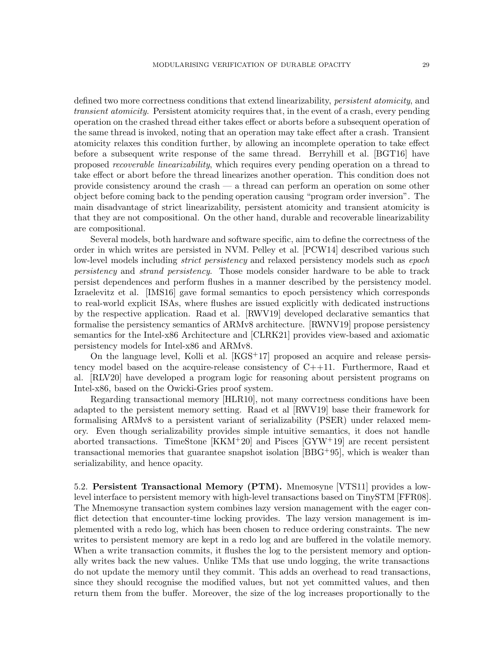defined two more correctness conditions that extend linearizability, *persistent atomicity*, and transient atomicity. Persistent atomicity requires that, in the event of a crash, every pending operation on the crashed thread either takes effect or aborts before a subsequent operation of the same thread is invoked, noting that an operation may take effect after a crash. Transient atomicity relaxes this condition further, by allowing an incomplete operation to take effect before a subsequent write response of the same thread. Berryhill et al. [\[BGT16\]](#page-32-9) have proposed recoverable linearizability, which requires every pending operation on a thread to take effect or abort before the thread linearizes another operation. This condition does not provide consistency around the crash — a thread can perform an operation on some other object before coming back to the pending operation causing "program order inversion". The main disadvantage of strict linearizability, persistent atomicity and transient atomicity is that they are not compositional. On the other hand, durable and recoverable linearizability are compositional.

Several models, both hardware and software specific, aim to define the correctness of the order in which writes are persisted in NVM. Pelley et al. [\[PCW14\]](#page-33-10) described various such low-level models including *strict persistency* and relaxed persistency models such as *epoch* persistency and strand persistency. Those models consider hardware to be able to track persist dependences and perform flushes in a manner described by the persistency model. Izraelevitz et al. [IMS16] gave formal semantics to epoch persistency which corresponds to real-world explicit ISAs, where flushes are issued explicitly with dedicated instructions by the respective application. Raad et al. [\[RWV19\]](#page-34-3) developed declarative semantics that formalise the persistency semantics of ARMv8 architecture. [\[RWNV19\]](#page-34-4) propose persistency semantics for the Intel-x86 Architecture and [\[CLRK21\]](#page-32-10) provides view-based and axiomatic persistency models for Intel-x86 and ARMv8.

On the language level, Kolli et al.  $[KGS<sup>+</sup>17]$  proposed an acquire and release persistency model based on the acquire-release consistency of C++11. Furthermore, Raad et al. [\[RLV20\]](#page-34-5) have developed a program logic for reasoning about persistent programs on Intel-x86, based on the Owicki-Gries proof system.

Regarding transactional memory [\[HLR10\]](#page-33-12), not many correctness conditions have been adapted to the persistent memory setting. Raad et al [\[RWV19\]](#page-34-3) base their framework for formalising ARMv8 to a persistent variant of serializability (PSER) under relaxed memory. Even though serializability provides simple intuitive semantics, it does not handle aborted transactions. TimeStone [\[KKM](#page-33-13)+20] and Pisces [\[GYW](#page-33-14)+19] are recent persistent transactional memories that guarantee snapshot isolation  $[BBG^+95]$  $[BBG^+95]$ , which is weaker than serializability, and hence opacity.

5.2. Persistent Transactional Memory (PTM). Mnemosyne [\[VTS11\]](#page-34-0) provides a lowlevel interface to persistent memory with high-level transactions based on TinySTM [\[FFR08\]](#page-33-15). The Mnemosyne transaction system combines lazy version management with the eager conflict detection that encounter-time locking provides. The lazy version management is implemented with a redo log, which has been chosen to reduce ordering constraints. The new writes to persistent memory are kept in a redo log and are buffered in the volatile memory. When a write transaction commits, it flushes the log to the persistent memory and optionally writes back the new values. Unlike TMs that use undo logging, the write transactions do not update the memory until they commit. This adds an overhead to read transactions, since they should recognise the modified values, but not yet committed values, and then return them from the buffer. Moreover, the size of the log increases proportionally to the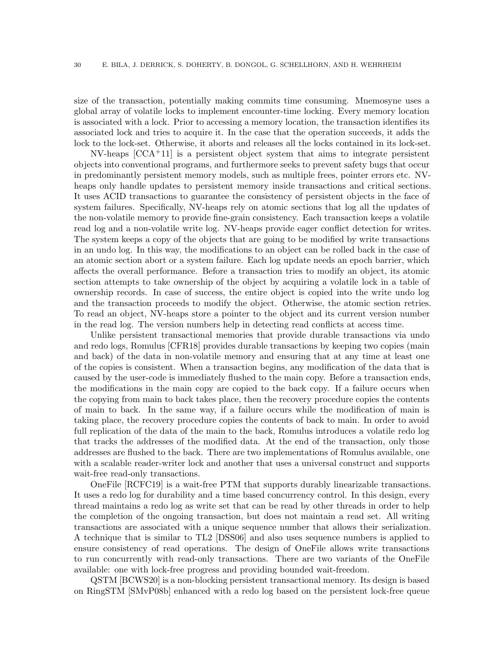size of the transaction, potentially making commits time consuming. Mnemosyne uses a global array of volatile locks to implement encounter-time locking. Every memory location is associated with a lock. Prior to accessing a memory location, the transaction identifies its associated lock and tries to acquire it. In the case that the operation succeeds, it adds the lock to the lock-set. Otherwise, it aborts and releases all the locks contained in its lock-set.

 $NV$ -heaps  $[CCA<sup>+</sup>11]$  is a persistent object system that aims to integrate persistent objects into conventional programs, and furthermore seeks to prevent safety bugs that occur in predominantly persistent memory models, such as multiple frees, pointer errors etc. NVheaps only handle updates to persistent memory inside transactions and critical sections. It uses ACID transactions to guarantee the consistency of persistent objects in the face of system failures. Specifically, NV-heaps rely on atomic sections that log all the updates of the non-volatile memory to provide fine-grain consistency. Each transaction keeps a volatile read log and a non-volatile write log. NV-heaps provide eager conflict detection for writes. The system keeps a copy of the objects that are going to be modified by write transactions in an undo log. In this way, the modifications to an object can be rolled back in the case of an atomic section abort or a system failure. Each log update needs an epoch barrier, which affects the overall performance. Before a transaction tries to modify an object, its atomic section attempts to take ownership of the object by acquiring a volatile lock in a table of ownership records. In case of success, the entire object is copied into the write undo log and the transaction proceeds to modify the object. Otherwise, the atomic section retries. To read an object, NV-heaps store a pointer to the object and its current version number in the read log. The version numbers help in detecting read conflicts at access time.

Unlike persistent transactional memories that provide durable transactions via undo and redo logs, Romulus [\[CFR18\]](#page-32-12) provides durable transactions by keeping two copies (main and back) of the data in non-volatile memory and ensuring that at any time at least one of the copies is consistent. When a transaction begins, any modification of the data that is caused by the user-code is immediately flushed to the main copy. Before a transaction ends, the modifications in the main copy are copied to the back copy. If a failure occurs when the copying from main to back takes place, then the recovery procedure copies the contents of main to back. In the same way, if a failure occurs while the modification of main is taking place, the recovery procedure copies the contents of back to main. In order to avoid full replication of the data of the main to the back, Romulus introduces a volatile redo log that tracks the addresses of the modified data. At the end of the transaction, only those addresses are flushed to the back. There are two implementations of Romulus available, one with a scalable reader-writer lock and another that uses a universal construct and supports wait-free read-only transactions.

OneFile [\[RCFC19\]](#page-34-6) is a wait-free PTM that supports durably linearizable transactions. It uses a redo log for durability and a time based concurrency control. In this design, every thread maintains a redo log as write set that can be read by other threads in order to help the completion of the ongoing transaction, but does not maintain a read set. All writing transactions are associated with a unique sequence number that allows their serialization. A technique that is similar to TL2 [\[DSS06\]](#page-32-4) and also uses sequence numbers is applied to ensure consistency of read operations. The design of OneFile allows write transactions to run concurrently with read-only transactions. There are two variants of the OneFile available: one with lock-free progress and providing bounded wait-freedom.

QSTM [\[BCWS20\]](#page-31-2) is a non-blocking persistent transactional memory. Its design is based on RingSTM [SMvP08b] enhanced with a redo log based on the persistent lock-free queue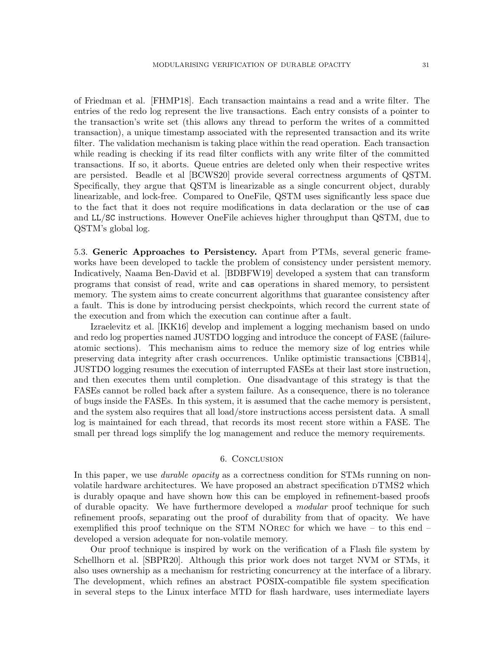of Friedman et al. [FHMP18]. Each transaction maintains a read and a write filter. The entries of the redo log represent the live transactions. Each entry consists of a pointer to the transaction's write set (this allows any thread to perform the writes of a committed transaction), a unique timestamp associated with the represented transaction and its write filter. The validation mechanism is taking place within the read operation. Each transaction while reading is checking if its read filter conflicts with any write filter of the committed transactions. If so, it aborts. Queue entries are deleted only when their respective writes are persisted. Beadle et al [\[BCWS20\]](#page-31-2) provide several correctness arguments of QSTM. Specifically, they argue that QSTM is linearizable as a single concurrent object, durably linearizable, and lock-free. Compared to OneFile, QSTM uses significantly less space due to the fact that it does not require modifications in data declaration or the use of cas and LL/SC instructions. However OneFile achieves higher throughput than QSTM, due to QSTM's global log.

5.3. Generic Approaches to Persistency. Apart from PTMs, several generic frameworks have been developed to tackle the problem of consistency under persistent memory. Indicatively, Naama Ben-David et al. [\[BDBFW19\]](#page-31-3) developed a system that can transform programs that consist of read, write and cas operations in shared memory, to persistent memory. The system aims to create concurrent algorithms that guarantee consistency after a fault. This is done by introducing persist checkpoints, which record the current state of the execution and from which the execution can continue after a fault.

Izraelevitz et al. [\[IKK16\]](#page-33-16) develop and implement a logging mechanism based on undo and redo log properties named JUSTDO logging and introduce the concept of FASE (failureatomic sections). This mechanism aims to reduce the memory size of log entries while preserving data integrity after crash occurrences. Unlike optimistic transactions [\[CBB14\]](#page-32-13), JUSTDO logging resumes the execution of interrupted FASEs at their last store instruction, and then executes them until completion. One disadvantage of this strategy is that the FASEs cannot be rolled back after a system failure. As a consequence, there is no tolerance of bugs inside the FASEs. In this system, it is assumed that the cache memory is persistent, and the system also requires that all load/store instructions access persistent data. A small log is maintained for each thread, that records its most recent store within a FASE. The small per thread logs simplify the log management and reduce the memory requirements.

## 6. Conclusion

In this paper, we use *durable opacity* as a correctness condition for STMs running on nonvolatile hardware architectures. We have proposed an abstract specification  $\text{DTMS2}$  which is durably opaque and have shown how this can be employed in refinement-based proofs of durable opacity. We have furthermore developed a modular proof technique for such refinement proofs, separating out the proof of durability from that of opacity. We have exemplified this proof technique on the STM NOrec for which we have – to this end – developed a version adequate for non-volatile memory.

Our proof technique is inspired by work on the verification of a Flash file system by Schellhorn et al. [\[SBPR20\]](#page-34-2). Although this prior work does not target NVM or STMs, it also uses ownership as a mechanism for restricting concurrency at the interface of a library. The development, which refines an abstract POSIX-compatible file system specification in several steps to the Linux interface MTD for flash hardware, uses intermediate layers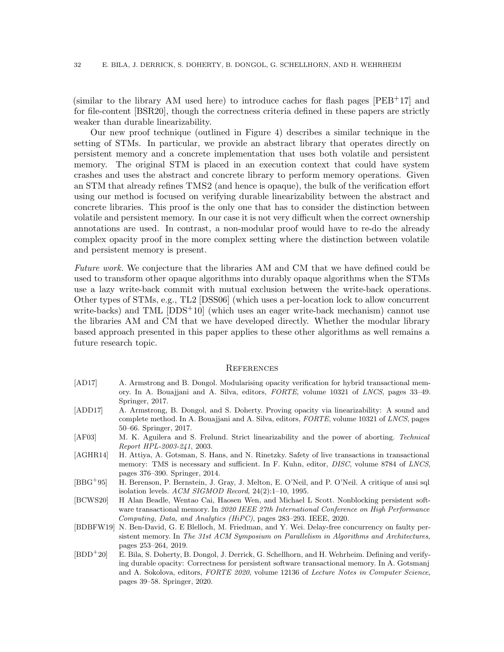(similar to the library AM used here) to introduce caches for flash pages  $[PEB<sup>+</sup>17]$  and for file-content [BSR20], though the correctness criteria defined in these papers are strictly weaker than durable linearizability.

Our new proof technique (outlined in Figure [4\)](#page-15-1) describes a similar technique in the setting of STMs. In particular, we provide an abstract library that operates directly on persistent memory and a concrete implementation that uses both volatile and persistent memory. The original STM is placed in an execution context that could have system crashes and uses the abstract and concrete library to perform memory operations. Given an STM that already refines TMS2 (and hence is opaque), the bulk of the verification effort using our method is focused on verifying durable linearizability between the abstract and concrete libraries. This proof is the only one that has to consider the distinction between volatile and persistent memory. In our case it is not very difficult when the correct ownership annotations are used. In contrast, a non-modular proof would have to re-do the already complex opacity proof in the more complex setting where the distinction between volatile and persistent memory is present.

Future work. We conjecture that the libraries AM and CM that we have defined could be used to transform other opaque algorithms into durably opaque algorithms when the STMs use a lazy write-back commit with mutual exclusion between the write-back operations. Other types of STMs, e.g., TL2 [\[DSS06\]](#page-32-4) (which uses a per-location lock to allow concurrent write-backs) and TML [\[DDS](#page-32-0)<sup>+</sup>10] (which uses an eager write-back mechanism) cannot use the libraries AM and CM that we have developed directly. Whether the modular library based approach presented in this paper applies to these other algorithms as well remains a future research topic.

#### **REFERENCES**

- [AD17] A. Armstrong and B. Dongol. Modularising opacity verification for hybrid transactional memory. In A. Bouajjani and A. Silva, editors, *FORTE*, volume 10321 of *LNCS*, pages 33–49. Springer, 2017.
- [ADD17] A. Armstrong, B. Dongol, and S. Doherty. Proving opacity via linearizability: A sound and complete method. In A. Bouajjani and A. Silva, editors, *FORTE*, volume 10321 of *LNCS*, pages 50–66. Springer, 2017.
- <span id="page-31-0"></span>[AF03] M. K. Aguilera and S. Frølund. Strict linearizability and the power of aborting. *Technical Report HPL-2003-241*, 2003.
- [AGHR14] H. Attiya, A. Gotsman, S. Hans, and N. Rinetzky. Safety of live transactions in transactional memory: TMS is necessary and sufficient. In F. Kuhn, editor, *DISC*, volume 8784 of *LNCS*, pages 376–390. Springer, 2014.
- <span id="page-31-1"></span>[BBG<sup>+</sup>95] H. Berenson, P. Bernstein, J. Gray, J. Melton, E. O'Neil, and P. O'Neil. A critique of ansi sql isolation levels. *ACM SIGMOD Record*, 24(2):1–10, 1995.
- <span id="page-31-2"></span>[BCWS20] H Alan Beadle, Wentao Cai, Haosen Wen, and Michael L Scott. Nonblocking persistent software transactional memory. In *2020 IEEE 27th International Conference on High Performance Computing, Data, and Analytics (HiPC)*, pages 283–293. IEEE, 2020.
- <span id="page-31-3"></span>[BDBFW19] N. Ben-David, G. E Blelloch, M. Friedman, and Y. Wei. Delay-free concurrency on faulty persistent memory. In *The 31st ACM Symposium on Parallelism in Algorithms and Architectures*, pages 253–264, 2019.
- [BDD<sup>+</sup>20] E. Bila, S. Doherty, B. Dongol, J. Derrick, G. Schellhorn, and H. Wehrheim. Defining and verifying durable opacity: Correctness for persistent software transactional memory. In A. Gotsmanj and A. Sokolova, editors, *FORTE 2020*, volume 12136 of *Lecture Notes in Computer Science*, pages 39–58. Springer, 2020.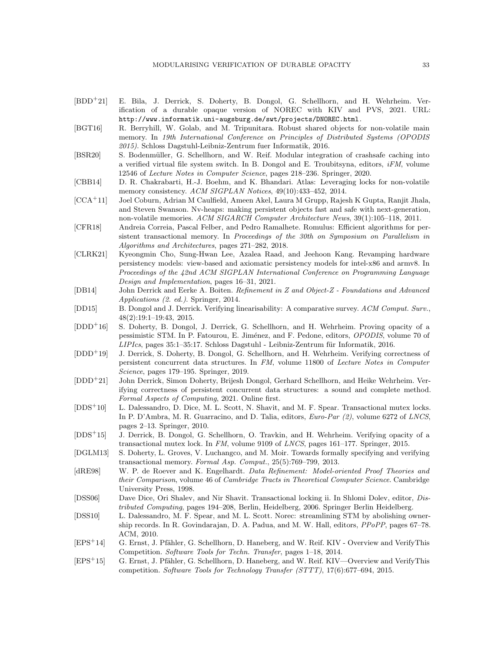- <span id="page-32-3"></span>[BDD<sup>+</sup>21] E. Bila, J. Derrick, S. Doherty, B. Dongol, G. Schellhorn, and H. Wehrheim. Verification of a durable opaque version of NOREC with KIV and PVS, 2021. URL: <http://www.informatik.uni-augsburg.de/swt/projects/DNOREC.html>.
- <span id="page-32-9"></span>[BGT16] R. Berryhill, W. Golab, and M. Tripunitara. Robust shared objects for non-volatile main memory. In *19th International Conference on Principles of Distributed Systems (OPODIS 2015)*. Schloss Dagstuhl-Leibniz-Zentrum fuer Informatik, 2016.
- [BSR20] S. Bodenmüller, G. Schellhorn, and W. Reif. Modular integration of crashsafe caching into a verified virtual file system switch. In B. Dongol and E. Troubitsyna, editors, *iFM*, volume 12546 of *Lecture Notes in Computer Science*, pages 218–236. Springer, 2020.
- <span id="page-32-13"></span>[CBB14] D. R. Chakrabarti, H.-J. Boehm, and K. Bhandari. Atlas: Leveraging locks for non-volatile memory consistency. *ACM SIGPLAN Notices*, 49(10):433–452, 2014.
- <span id="page-32-11"></span>[CCA<sup>+</sup>11] Joel Coburn, Adrian M Caulfield, Ameen Akel, Laura M Grupp, Rajesh K Gupta, Ranjit Jhala, and Steven Swanson. Nv-heaps: making persistent objects fast and safe with next-generation, non-volatile memories. *ACM SIGARCH Computer Architecture News*, 39(1):105–118, 2011.
- <span id="page-32-12"></span>[CFR18] Andreia Correia, Pascal Felber, and Pedro Ramalhete. Romulus: Efficient algorithms for persistent transactional memory. In *Proceedings of the 30th on Symposium on Parallelism in Algorithms and Architectures*, pages 271–282, 2018.
- <span id="page-32-10"></span>[CLRK21] Kyeongmin Cho, Sung-Hwan Lee, Azalea Raad, and Jeehoon Kang. Revamping hardware persistency models: view-based and axiomatic persistency models for intel-x86 and armv8. In *Proceedings of the 42nd ACM SIGPLAN International Conference on Programming Language Design and Implementation*, pages 16–31, 2021.
- [DB14] John Derrick and Eerke A. Boiten. *Refinement in Z and Object-Z Foundations and Advanced Applications (2. ed.)*. Springer, 2014.
- [DD15] B. Dongol and J. Derrick. Verifying linearisability: A comparative survey. *ACM Comput. Surv.*, 48(2):19:1–19:43, 2015.
- [DDD<sup>+</sup>16] S. Doherty, B. Dongol, J. Derrick, G. Schellhorn, and H. Wehrheim. Proving opacity of a pessimistic STM. In P. Fatourou, E. Jim´enez, and F. Pedone, editors, *OPODIS*, volume 70 of *LIPIcs*, pages 35:1–35:17. Schloss Dagstuhl - Leibniz-Zentrum f¨ur Informatik, 2016.
- [DDD<sup>+</sup>19] J. Derrick, S. Doherty, B. Dongol, G. Schellhorn, and H. Wehrheim. Verifying correctness of persistent concurrent data structures. In *FM*, volume 11800 of *Lecture Notes in Computer Science*, pages 179–195. Springer, 2019.
- <span id="page-32-5"></span>[DDD<sup>+</sup>21] John Derrick, Simon Doherty, Brijesh Dongol, Gerhard Schellhorn, and Heike Wehrheim. Verifying correctness of persistent concurrent data structures: a sound and complete method. *Formal Aspects of Computing*, 2021. Online first.
- <span id="page-32-0"></span>[DDS<sup>+</sup>10] L. Dalessandro, D. Dice, M. L. Scott, N. Shavit, and M. F. Spear. Transactional mutex locks. In P. D'Ambra, M. R. Guarracino, and D. Talia, editors, *Euro-Par (2)*, volume 6272 of *LNCS*, pages 2–13. Springer, 2010.
- <span id="page-32-7"></span>[DDS<sup>+</sup>15] J. Derrick, B. Dongol, G. Schellhorn, O. Travkin, and H. Wehrheim. Verifying opacity of a transactional mutex lock. In *FM*, volume 9109 of *LNCS*, pages 161–177. Springer, 2015.
- <span id="page-32-1"></span>[DGLM13] S. Doherty, L. Groves, V. Luchangco, and M. Moir. Towards formally specifying and verifying transactional memory. *Formal Asp. Comput.*, 25(5):769–799, 2013.
- <span id="page-32-6"></span>[dRE98] W. P. de Roever and K. Engelhardt. *Data Refinement: Model-oriented Proof Theories and their Comparison*, volume 46 of *Cambridge Tracts in Theoretical Computer Science*. Cambridge University Press, 1998.
- <span id="page-32-4"></span>[DSS06] Dave Dice, Ori Shalev, and Nir Shavit. Transactional locking ii. In Shlomi Dolev, editor, *Distributed Computing*, pages 194–208, Berlin, Heidelberg, 2006. Springer Berlin Heidelberg.
- [DSS10] L. Dalessandro, M. F. Spear, and M. L. Scott. Norec: streamlining STM by abolishing ownership records. In R. Govindarajan, D. A. Padua, and M. W. Hall, editors, *PPoPP*, pages 67–78. ACM, 2010.
- <span id="page-32-2"></span>[EPS<sup>+</sup>14] G. Ernst, J. Pfähler, G. Schellhorn, D. Haneberg, and W. Reif. KIV - Overview and VerifyThis Competition. *Software Tools for Techn. Transfer*, pages 1–18, 2014.
- <span id="page-32-8"></span>[EPS<sup>+</sup>15] G. Ernst, J. Pfähler, G. Schellhorn, D. Haneberg, and W. Reif. KIV—Overview and VerifyThis competition. *Software Tools for Technology Transfer (STTT)*, 17(6):677–694, 2015.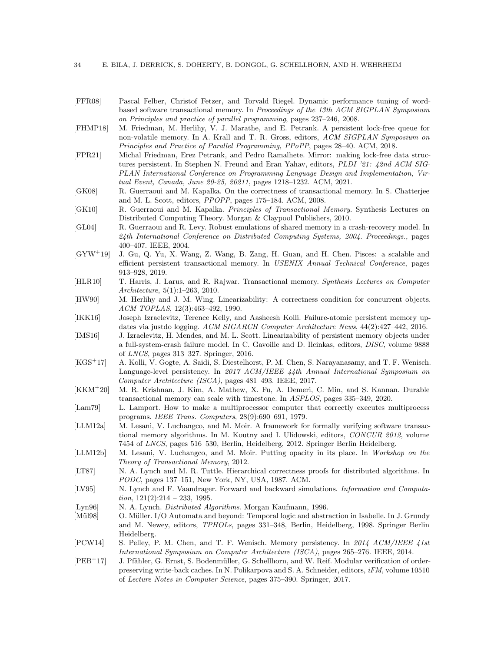- <span id="page-33-15"></span>[FFR08] Pascal Felber, Christof Fetzer, and Torvald Riegel. Dynamic performance tuning of wordbased software transactional memory. In *Proceedings of the 13th ACM SIGPLAN Symposium on Principles and practice of parallel programming*, pages 237–246, 2008.
- [FHMP18] M. Friedman, M. Herlihy, V. J. Marathe, and E. Petrank. A persistent lock-free queue for non-volatile memory. In A. Krall and T. R. Gross, editors, *ACM SIGPLAN Symposium on Principles and Practice of Parallel Programming, PPoPP*, pages 28–40. ACM, 2018.
- [FPR21] Michal Friedman, Erez Petrank, and Pedro Ramalhete. Mirror: making lock-free data structures persistent. In Stephen N. Freund and Eran Yahav, editors, *PLDI '21: 42nd ACM SIG-PLAN International Conference on Programming Language Design and Implementation, Virtual Event, Canada, June 20-25, 20211*, pages 1218–1232. ACM, 2021.
- <span id="page-33-1"></span>[GK08] R. Guerraoui and M. Kapalka. On the correctness of transactional memory. In S. Chatterjee and M. L. Scott, editors, *PPOPP*, pages 175–184. ACM, 2008.
- <span id="page-33-5"></span>[GK10] R. Guerraoui and M. Kapalka. *Principles of Transactional Memory*. Synthesis Lectures on Distributed Computing Theory. Morgan & Claypool Publishers, 2010.
- <span id="page-33-9"></span>[GL04] R. Guerraoui and R. Levy. Robust emulations of shared memory in a crash-recovery model. In *24th International Conference on Distributed Computing Systems, 2004. Proceedings.*, pages 400–407. IEEE, 2004.
- <span id="page-33-14"></span>[GYW<sup>+</sup>19] J. Gu, Q. Yu, X. Wang, Z. Wang, B. Zang, H. Guan, and H. Chen. Pisces: a scalable and efficient persistent transactional memory. In *USENIX Annual Technical Conference*, pages 913–928, 2019.
- <span id="page-33-12"></span>[HLR10] T. Harris, J. Larus, and R. Rajwar. Transactional memory. *Synthesis Lectures on Computer Architecture*, 5(1):1–263, 2010.
- <span id="page-33-0"></span>[HW90] M. Herlihy and J. M. Wing. Linearizability: A correctness condition for concurrent objects. *ACM TOPLAS*, 12(3):463–492, 1990.
- <span id="page-33-16"></span>[IKK16] Joseph Izraelevitz, Terence Kelly, and Aasheesh Kolli. Failure-atomic persistent memory updates via justdo logging. *ACM SIGARCH Computer Architecture News*, 44(2):427–442, 2016.
- [IMS16] J. Izraelevitz, H. Mendes, and M. L. Scott. Linearizability of persistent memory objects under a full-system-crash failure model. In C. Gavoille and D. Ilcinkas, editors, *DISC*, volume 9888 of *LNCS*, pages 313–327. Springer, 2016.
- <span id="page-33-11"></span>[KGS<sup>+</sup>17] A. Kolli, V. Gogte, A. Saidi, S. Diestelhorst, P. M. Chen, S. Narayanasamy, and T. F. Wenisch. Language-level persistency. In *2017 ACM/IEEE 44th Annual International Symposium on Computer Architecture (ISCA)*, pages 481–493. IEEE, 2017.
- <span id="page-33-13"></span>[KKM<sup>+</sup>20] M. R. Krishnan, J. Kim, A. Mathew, X. Fu, A. Demeri, C. Min, and S. Kannan. Durable transactional memory can scale with timestone. In *ASPLOS*, pages 335–349, 2020.
- <span id="page-33-3"></span>[Lam79] L. Lamport. How to make a multiprocessor computer that correctly executes multiprocess programs. *IEEE Trans. Computers*, 28(9):690–691, 1979.
- <span id="page-33-2"></span>[LLM12a] M. Lesani, V. Luchangco, and M. Moir. A framework for formally verifying software transactional memory algorithms. In M. Koutny and I. Ulidowski, editors, *CONCUR 2012*, volume 7454 of *LNCS*, pages 516–530, Berlin, Heidelberg, 2012. Springer Berlin Heidelberg.
- <span id="page-33-6"></span>[LLM12b] M. Lesani, V. Luchangco, and M. Moir. Putting opacity in its place. In *Workshop on the Theory of Transactional Memory*, 2012.
- <span id="page-33-4"></span>[LT87] N. A. Lynch and M. R. Tuttle. Hierarchical correctness proofs for distributed algorithms. In *PODC*, pages 137–151, New York, NY, USA, 1987. ACM.
- <span id="page-33-7"></span>[LV95] N. Lynch and F. Vaandrager. Forward and backward simulations. *Information and Computation*, 121(2):214 – 233, 1995.
- [Lyn96] N. A. Lynch. *Distributed Algorithms*. Morgan Kaufmann, 1996.
- <span id="page-33-8"></span>[Mül98] O. Müller. I/O Automata and beyond: Temporal logic and abstraction in Isabelle. In J. Grundy and M. Newey, editors, *TPHOLs*, pages 331–348, Berlin, Heidelberg, 1998. Springer Berlin Heidelberg.
- <span id="page-33-10"></span>[PCW14] S. Pelley, P. M. Chen, and T. F. Wenisch. Memory persistency. In *2014 ACM/IEEE 41st International Symposium on Computer Architecture (ISCA)*, pages 265–276. IEEE, 2014.
- [PEB<sup>+</sup>17] J. Pfähler, G. Ernst, S. Bodenmüller, G. Schellhorn, and W. Reif. Modular verification of orderpreserving write-back caches. In N. Polikarpova and S. A. Schneider, editors, *iFM*, volume 10510 of *Lecture Notes in Computer Science*, pages 375–390. Springer, 2017.